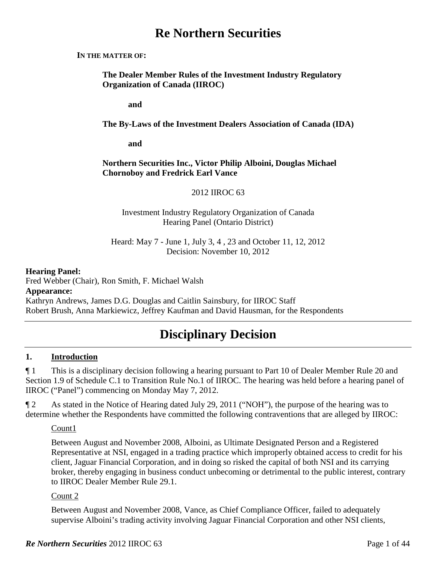# **Re Northern Securities**

#### **IN THE MATTER OF:**

**The Dealer Member Rules of the Investment Industry Regulatory Organization of Canada (IIROC)**

**and**

#### **The By-Laws of the Investment Dealers Association of Canada (IDA)**

**and**

#### **Northern Securities Inc., Victor Philip Alboini, Douglas Michael Chornoboy and Fredrick Earl Vance**

#### 2012 IIROC 63

#### Investment Industry Regulatory Organization of Canada Hearing Panel (Ontario District)

Heard: May 7 - June 1, July 3, 4 , 23 and October 11, 12, 2012 Decision: November 10, 2012

#### **Hearing Panel:**

Fred Webber (Chair), Ron Smith, F. Michael Walsh **Appearance:** Kathryn Andrews, James D.G. Douglas and Caitlin Sainsbury, for IIROC Staff Robert Brush, Anna Markiewicz, Jeffrey Kaufman and David Hausman, for the Respondents

# **Disciplinary Decision**

### **1. Introduction**

¶ 1 This is a disciplinary decision following a hearing pursuant to Part 10 of Dealer Member Rule 20 and Section 1.9 of Schedule C.1 to Transition Rule No.1 of IIROC. The hearing was held before a hearing panel of IIROC ("Panel") commencing on Monday May 7, 2012.

¶ 2 As stated in the Notice of Hearing dated July 29, 2011 ("NOH"), the purpose of the hearing was to determine whether the Respondents have committed the following contraventions that are alleged by IIROC:

#### Count1

Between August and November 2008, Alboini, as Ultimate Designated Person and a Registered Representative at NSI, engaged in a trading practice which improperly obtained access to credit for his client, Jaguar Financial Corporation, and in doing so risked the capital of both NSI and its carrying broker, thereby engaging in business conduct unbecoming or detrimental to the public interest, contrary to IIROC Dealer Member Rule 29.1.

#### Count 2

Between August and November 2008, Vance, as Chief Compliance Officer, failed to adequately supervise Alboini's trading activity involving Jaguar Financial Corporation and other NSI clients,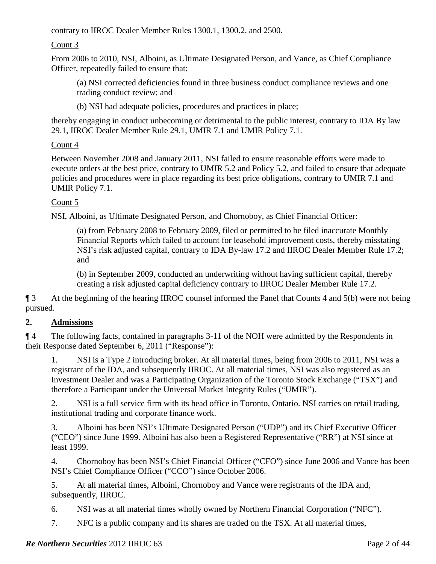contrary to IIROC Dealer Member Rules 1300.1, 1300.2, and 2500.

Count 3

From 2006 to 2010, NSI, Alboini, as Ultimate Designated Person, and Vance, as Chief Compliance Officer, repeatedly failed to ensure that:

(a) NSI corrected deficiencies found in three business conduct compliance reviews and one trading conduct review; and

(b) NSI had adequate policies, procedures and practices in place;

thereby engaging in conduct unbecoming or detrimental to the public interest, contrary to IDA By law 29.1, IIROC Dealer Member Rule 29.1, UMIR 7.1 and UMIR Policy 7.1.

# Count 4

Between November 2008 and January 2011, NSI failed to ensure reasonable efforts were made to execute orders at the best price, contrary to UMIR 5.2 and Policy 5.2, and failed to ensure that adequate policies and procedures were in place regarding its best price obligations, contrary to UMIR 7.1 and UMIR Policy 7.1.

### Count 5

NSI, Alboini, as Ultimate Designated Person, and Chornoboy, as Chief Financial Officer:

(a) from February 2008 to February 2009, filed or permitted to be filed inaccurate Monthly Financial Reports which failed to account for leasehold improvement costs, thereby misstating NSI's risk adjusted capital, contrary to IDA By-law 17.2 and IIROC Dealer Member Rule 17.2; and

(b) in September 2009, conducted an underwriting without having sufficient capital, thereby creating a risk adjusted capital deficiency contrary to IIROC Dealer Member Rule 17.2.

¶ 3 At the beginning of the hearing IIROC counsel informed the Panel that Counts 4 and 5(b) were not being pursued.

# **2. Admissions**

¶ 4 The following facts, contained in paragraphs 3-11 of the NOH were admitted by the Respondents in their Response dated September 6, 2011 ("Response"):

1. NSI is a Type 2 introducing broker. At all material times, being from 2006 to 2011, NSI was a registrant of the IDA, and subsequently IIROC. At all material times, NSI was also registered as an Investment Dealer and was a Participating Organization of the Toronto Stock Exchange ("TSX") and therefore a Participant under the Universal Market Integrity Rules ("UMIR").

2. NSI is a full service firm with its head office in Toronto, Ontario. NSI carries on retail trading, institutional trading and corporate finance work.

3. Alboini has been NSI's Ultimate Designated Person ("UDP") and its Chief Executive Officer ("CEO") since June 1999. Alboini has also been a Registered Representative ("RR") at NSI since at least 1999.

4. Chornoboy has been NSI's Chief Financial Officer ("CFO") since June 2006 and Vance has been NSI's Chief Compliance Officer ("CCO") since October 2006.

5. At all material times, Alboini, Chornoboy and Vance were registrants of the IDA and, subsequently, IIROC.

6. NSI was at all material times wholly owned by Northern Financial Corporation ("NFC").

7. NFC is a public company and its shares are traded on the TSX. At all material times,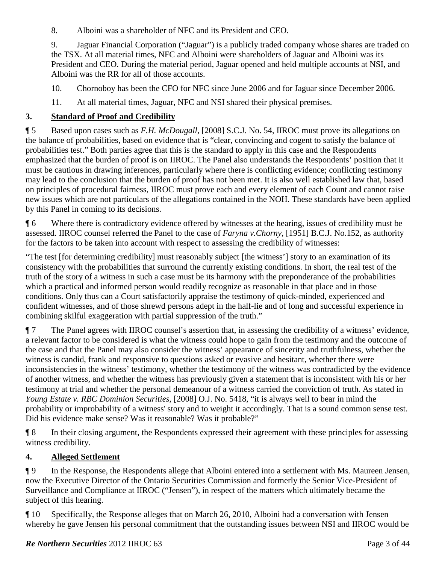8. Alboini was a shareholder of NFC and its President and CEO.

9. Jaguar Financial Corporation ("Jaguar") is a publicly traded company whose shares are traded on the TSX. At all material times, NFC and Alboini were shareholders of Jaguar and Alboini was its President and CEO. During the material period, Jaguar opened and held multiple accounts at NSI, and Alboini was the RR for all of those accounts.

10. Chornoboy has been the CFO for NFC since June 2006 and for Jaguar since December 2006.

11. At all material times, Jaguar, NFC and NSI shared their physical premises.

# **3. Standard of Proof and Credibility**

¶ 5 Based upon cases such as *F.H. McDougall*, [2008] S.C.J. No. 54, IIROC must prove its allegations on the balance of probabilities, based on evidence that is "clear, convincing and cogent to satisfy the balance of probabilities test." Both parties agree that this is the standard to apply in this case and the Respondents emphasized that the burden of proof is on IIROC. The Panel also understands the Respondents' position that it must be cautious in drawing inferences, particularly where there is conflicting evidence; conflicting testimony may lead to the conclusion that the burden of proof has not been met. It is also well established law that, based on principles of procedural fairness, IIROC must prove each and every element of each Count and cannot raise new issues which are not particulars of the allegations contained in the NOH. These standards have been applied by this Panel in coming to its decisions.

¶ 6 Where there is contradictory evidence offered by witnesses at the hearing, issues of credibility must be assessed. IIROC counsel referred the Panel to the case of *Faryna v.Chorny*, [1951] B.C.J. No.152, as authority for the factors to be taken into account with respect to assessing the credibility of witnesses:

"The test [for determining credibility] must reasonably subject [the witness'] story to an examination of its consistency with the probabilities that surround the currently existing conditions. In short, the real test of the truth of the story of a witness in such a case must be its harmony with the preponderance of the probabilities which a practical and informed person would readily recognize as reasonable in that place and in those conditions. Only thus can a Court satisfactorily appraise the testimony of quick-minded, experienced and confident witnesses, and of those shrewd persons adept in the half-lie and of long and successful experience in combining skilful exaggeration with partial suppression of the truth."

¶ 7 The Panel agrees with IIROC counsel's assertion that, in assessing the credibility of a witness' evidence, a relevant factor to be considered is what the witness could hope to gain from the testimony and the outcome of the case and that the Panel may also consider the witness' appearance of sincerity and truthfulness, whether the witness is candid, frank and responsive to questions asked or evasive and hesitant, whether there were inconsistencies in the witness' testimony, whether the testimony of the witness was contradicted by the evidence of another witness, and whether the witness has previously given a statement that is inconsistent with his or her testimony at trial and whether the personal demeanour of a witness carried the conviction of truth. As stated in *Young Estate v. RBC Dominion Securities*, [2008] O.J. No. 5418, "it is always well to bear in mind the probability or improbability of a witness' story and to weight it accordingly. That is a sound common sense test. Did his evidence make sense? Was it reasonable? Was it probable?"

¶ 8 In their closing argument, the Respondents expressed their agreement with these principles for assessing witness credibility.

# **4. Alleged Settlement**

¶ 9 In the Response, the Respondents allege that Alboini entered into a settlement with Ms. Maureen Jensen, now the Executive Director of the Ontario Securities Commission and formerly the Senior Vice-President of Surveillance and Compliance at IIROC ("Jensen"), in respect of the matters which ultimately became the subject of this hearing.

¶ 10 Specifically, the Response alleges that on March 26, 2010, Alboini had a conversation with Jensen whereby he gave Jensen his personal commitment that the outstanding issues between NSI and IIROC would be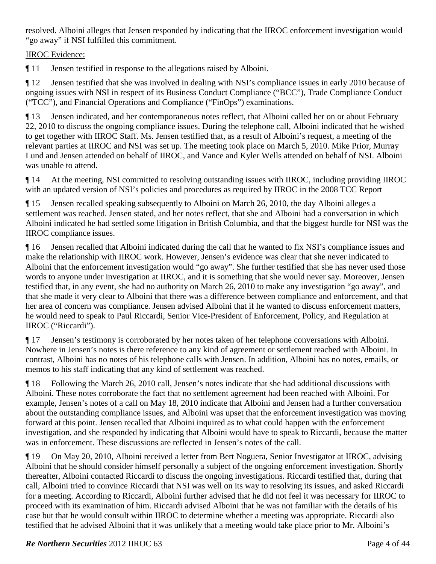resolved. Alboini alleges that Jensen responded by indicating that the IIROC enforcement investigation would "go away" if NSI fulfilled this commitment.

# IIROC Evidence:

¶ 11 Jensen testified in response to the allegations raised by Alboini.

¶ 12 Jensen testified that she was involved in dealing with NSI's compliance issues in early 2010 because of ongoing issues with NSI in respect of its Business Conduct Compliance ("BCC"), Trade Compliance Conduct ("TCC"), and Financial Operations and Compliance ("FinOps") examinations.

¶ 13 Jensen indicated, and her contemporaneous notes reflect, that Alboini called her on or about February 22, 2010 to discuss the ongoing compliance issues. During the telephone call, Alboini indicated that he wished to get together with IIROC Staff. Ms. Jensen testified that, as a result of Alboini's request, a meeting of the relevant parties at IIROC and NSI was set up. The meeting took place on March 5, 2010. Mike Prior, Murray Lund and Jensen attended on behalf of IIROC, and Vance and Kyler Wells attended on behalf of NSI. Alboini was unable to attend.

¶ 14 At the meeting, NSI committed to resolving outstanding issues with IIROC, including providing IIROC with an updated version of NSI's policies and procedures as required by IIROC in the 2008 TCC Report

¶ 15 Jensen recalled speaking subsequently to Alboini on March 26, 2010, the day Alboini alleges a settlement was reached. Jensen stated, and her notes reflect, that she and Alboini had a conversation in which Alboini indicated he had settled some litigation in British Columbia, and that the biggest hurdle for NSI was the IIROC compliance issues.

¶ 16 Jensen recalled that Alboini indicated during the call that he wanted to fix NSI's compliance issues and make the relationship with IIROC work. However, Jensen's evidence was clear that she never indicated to Alboini that the enforcement investigation would "go away". She further testified that she has never used those words to anyone under investigation at IIROC, and it is something that she would never say. Moreover, Jensen testified that, in any event, she had no authority on March 26, 2010 to make any investigation "go away", and that she made it very clear to Alboini that there was a difference between compliance and enforcement, and that her area of concern was compliance. Jensen advised Alboini that if he wanted to discuss enforcement matters, he would need to speak to Paul Riccardi, Senior Vice-President of Enforcement, Policy, and Regulation at IIROC ("Riccardi").

¶ 17 Jensen's testimony is corroborated by her notes taken of her telephone conversations with Alboini. Nowhere in Jensen's notes is there reference to any kind of agreement or settlement reached with Alboini. In contrast, Alboini has no notes of his telephone calls with Jensen. In addition, Alboini has no notes, emails, or memos to his staff indicating that any kind of settlement was reached.

¶ 18 Following the March 26, 2010 call, Jensen's notes indicate that she had additional discussions with Alboini. These notes corroborate the fact that no settlement agreement had been reached with Alboini. For example, Jensen's notes of a call on May 18, 2010 indicate that Alboini and Jensen had a further conversation about the outstanding compliance issues, and Alboini was upset that the enforcement investigation was moving forward at this point. Jensen recalled that Alboini inquired as to what could happen with the enforcement investigation, and she responded by indicating that Alboini would have to speak to Riccardi, because the matter was in enforcement. These discussions are reflected in Jensen's notes of the call.

¶ 19 On May 20, 2010, Alboini received a letter from Bert Noguera, Senior Investigator at IIROC, advising Alboini that he should consider himself personally a subject of the ongoing enforcement investigation. Shortly thereafter, Alboini contacted Riccardi to discuss the ongoing investigations. Riccardi testified that, during that call, Alboini tried to convince Riccardi that NSI was well on its way to resolving its issues, and asked Riccardi for a meeting. According to Riccardi, Alboini further advised that he did not feel it was necessary for IIROC to proceed with its examination of him. Riccardi advised Alboini that he was not familiar with the details of his case but that he would consult within IIROC to determine whether a meeting was appropriate. Riccardi also testified that he advised Alboini that it was unlikely that a meeting would take place prior to Mr. Alboini's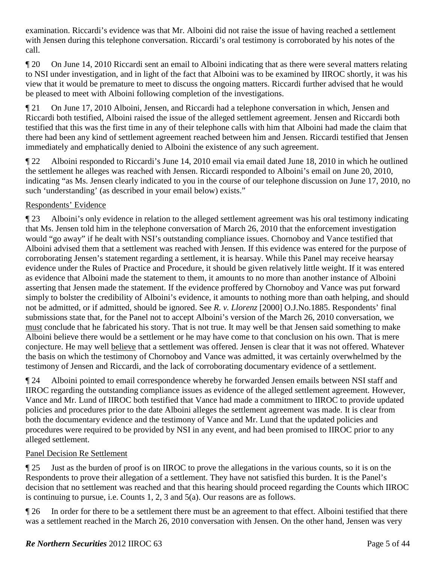examination. Riccardi's evidence was that Mr. Alboini did not raise the issue of having reached a settlement with Jensen during this telephone conversation. Riccardi's oral testimony is corroborated by his notes of the call.

¶ 20 On June 14, 2010 Riccardi sent an email to Alboini indicating that as there were several matters relating to NSI under investigation, and in light of the fact that Alboini was to be examined by IIROC shortly, it was his view that it would be premature to meet to discuss the ongoing matters. Riccardi further advised that he would be pleased to meet with Alboini following completion of the investigations.

¶ 21 On June 17, 2010 Alboini, Jensen, and Riccardi had a telephone conversation in which, Jensen and Riccardi both testified, Alboini raised the issue of the alleged settlement agreement. Jensen and Riccardi both testified that this was the first time in any of their telephone calls with him that Alboini had made the claim that there had been any kind of settlement agreement reached between him and Jensen. Riccardi testified that Jensen immediately and emphatically denied to Alboini the existence of any such agreement.

¶ 22 Alboini responded to Riccardi's June 14, 2010 email via email dated June 18, 2010 in which he outlined the settlement he alleges was reached with Jensen. Riccardi responded to Alboini's email on June 20, 2010, indicating "as Ms. Jensen clearly indicated to you in the course of our telephone discussion on June 17, 2010, no such 'understanding' (as described in your email below) exists."

# Respondents' Evidence

¶ 23 Alboini's only evidence in relation to the alleged settlement agreement was his oral testimony indicating that Ms. Jensen told him in the telephone conversation of March 26, 2010 that the enforcement investigation would "go away" if he dealt with NSI's outstanding compliance issues. Chornoboy and Vance testified that Alboini advised them that a settlement was reached with Jensen. If this evidence was entered for the purpose of corroborating Jensen's statement regarding a settlement, it is hearsay. While this Panel may receive hearsay evidence under the Rules of Practice and Procedure, it should be given relatively little weight. If it was entered as evidence that Alboini made the statement to them, it amounts to no more than another instance of Alboini asserting that Jensen made the statement. If the evidence proffered by Chornoboy and Vance was put forward simply to bolster the credibility of Alboini's evidence, it amounts to nothing more than oath helping, and should not be admitted, or if admitted, should be ignored. See *R. v. Llorenz* [2000] O.J.No.1885. Respondents' final submissions state that, for the Panel not to accept Alboini's version of the March 26, 2010 conversation, we must conclude that he fabricated his story. That is not true. It may well be that Jensen said something to make Alboini believe there would be a settlement or he may have come to that conclusion on his own. That is mere conjecture. He may well believe that a settlement was offered. Jensen is clear that it was not offered. Whatever the basis on which the testimony of Chornoboy and Vance was admitted, it was certainly overwhelmed by the testimony of Jensen and Riccardi, and the lack of corroborating documentary evidence of a settlement.

¶ 24 Alboini pointed to email correspondence whereby he forwarded Jensen emails between NSI staff and IIROC regarding the outstanding compliance issues as evidence of the alleged settlement agreement. However, Vance and Mr. Lund of IIROC both testified that Vance had made a commitment to IIROC to provide updated policies and procedures prior to the date Alboini alleges the settlement agreement was made. It is clear from both the documentary evidence and the testimony of Vance and Mr. Lund that the updated policies and procedures were required to be provided by NSI in any event, and had been promised to IIROC prior to any alleged settlement.

# Panel Decision Re Settlement

¶ 25 Just as the burden of proof is on IIROC to prove the allegations in the various counts, so it is on the Respondents to prove their allegation of a settlement. They have not satisfied this burden. It is the Panel's decision that no settlement was reached and that this hearing should proceed regarding the Counts which IIROC is continuing to pursue, i.e. Counts 1, 2, 3 and 5(a). Our reasons are as follows.

¶ 26 In order for there to be a settlement there must be an agreement to that effect. Alboini testified that there was a settlement reached in the March 26, 2010 conversation with Jensen. On the other hand, Jensen was very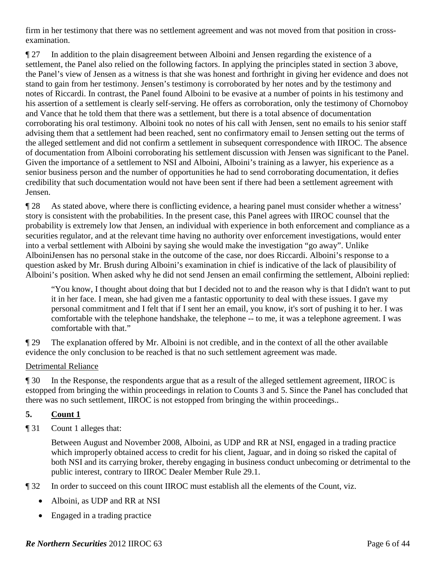firm in her testimony that there was no settlement agreement and was not moved from that position in crossexamination.

¶ 27 In addition to the plain disagreement between Alboini and Jensen regarding the existence of a settlement, the Panel also relied on the following factors. In applying the principles stated in section 3 above, the Panel's view of Jensen as a witness is that she was honest and forthright in giving her evidence and does not stand to gain from her testimony. Jensen's testimony is corroborated by her notes and by the testimony and notes of Riccardi. In contrast, the Panel found Alboini to be evasive at a number of points in his testimony and his assertion of a settlement is clearly self-serving. He offers as corroboration, only the testimony of Chornoboy and Vance that he told them that there was a settlement, but there is a total absence of documentation corroborating his oral testimony. Alboini took no notes of his call with Jensen, sent no emails to his senior staff advising them that a settlement had been reached, sent no confirmatory email to Jensen setting out the terms of the alleged settlement and did not confirm a settlement in subsequent correspondence with IIROC. The absence of documentation from Alboini corroborating his settlement discussion with Jensen was significant to the Panel. Given the importance of a settlement to NSI and Alboini, Alboini's training as a lawyer, his experience as a senior business person and the number of opportunities he had to send corroborating documentation, it defies credibility that such documentation would not have been sent if there had been a settlement agreement with Jensen.

¶ 28 As stated above, where there is conflicting evidence, a hearing panel must consider whether a witness' story is consistent with the probabilities. In the present case, this Panel agrees with IIROC counsel that the probability is extremely low that Jensen, an individual with experience in both enforcement and compliance as a securities regulator, and at the relevant time having no authority over enforcement investigations, would enter into a verbal settlement with Alboini by saying she would make the investigation "go away". Unlike AlboiniJensen has no personal stake in the outcome of the case, nor does Riccardi. Alboini's response to a question asked by Mr. Brush during Alboini's examination in chief is indicative of the lack of plausibility of Alboini's position. When asked why he did not send Jensen an email confirming the settlement, Alboini replied:

"You know, I thought about doing that but I decided not to and the reason why is that I didn't want to put it in her face. I mean, she had given me a fantastic opportunity to deal with these issues. I gave my personal commitment and I felt that if I sent her an email, you know, it's sort of pushing it to her. I was comfortable with the telephone handshake, the telephone -- to me, it was a telephone agreement. I was comfortable with that."

¶ 29 The explanation offered by Mr. Alboini is not credible, and in the context of all the other available evidence the only conclusion to be reached is that no such settlement agreement was made.

### Detrimental Reliance

¶ 30 In the Response, the respondents argue that as a result of the alleged settlement agreement, IIROC is estopped from bringing the within proceedings in relation to Counts 3 and 5. Since the Panel has concluded that there was no such settlement, IIROC is not estopped from bringing the within proceedings..

### **5. Count 1**

¶ 31 Count 1 alleges that:

Between August and November 2008, Alboini, as UDP and RR at NSI, engaged in a trading practice which improperly obtained access to credit for his client, Jaguar, and in doing so risked the capital of both NSI and its carrying broker, thereby engaging in business conduct unbecoming or detrimental to the public interest, contrary to IIROC Dealer Member Rule 29.1.

- ¶ 32 In order to succeed on this count IIROC must establish all the elements of the Count, viz.
	- Alboini, as UDP and RR at NSI
	- Engaged in a trading practice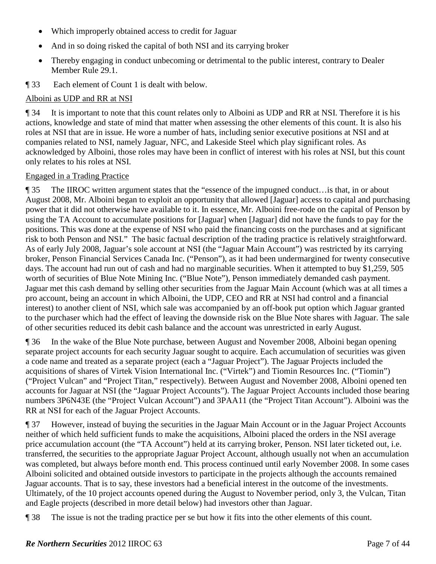- Which improperly obtained access to credit for Jaguar
- And in so doing risked the capital of both NSI and its carrying broker
- Thereby engaging in conduct unbecoming or detrimental to the public interest, contrary to Dealer Member Rule 29.1.
- ¶ 33 Each element of Count 1 is dealt with below.

#### Alboini as UDP and RR at NSI

¶ 34 It is important to note that this count relates only to Alboini as UDP and RR at NSI. Therefore it is his actions, knowledge and state of mind that matter when assessing the other elements of this count. It is also his roles at NSI that are in issue. He wore a number of hats, including senior executive positions at NSI and at companies related to NSI, namely Jaguar, NFC, and Lakeside Steel which play significant roles. As acknowledged by Alboini, those roles may have been in conflict of interest with his roles at NSI, but this count only relates to his roles at NSI.

#### Engaged in a Trading Practice

¶ 35 The IIROC written argument states that the "essence of the impugned conduct…is that, in or about August 2008, Mr. Alboini began to exploit an opportunity that allowed [Jaguar] access to capital and purchasing power that it did not otherwise have available to it. In essence, Mr. Alboini free-rode on the capital of Penson by using the TA Account to accumulate positions for [Jaguar] when [Jaguar] did not have the funds to pay for the positions. This was done at the expense of NSI who paid the financing costs on the purchases and at significant risk to both Penson and NSI." The basic factual description of the trading practice is relatively straightforward. As of early July 2008, Jaguar's sole account at NSI (the "Jaguar Main Account") was restricted by its carrying broker, Penson Financial Services Canada Inc. ("Penson"), as it had been undermargined for twenty consecutive days. The account had run out of cash and had no marginable securities. When it attempted to buy \$1,259, 505 worth of securities of Blue Note Mining Inc. ("Blue Note"), Penson immediately demanded cash payment. Jaguar met this cash demand by selling other securities from the Jaguar Main Account (which was at all times a pro account, being an account in which Alboini, the UDP, CEO and RR at NSI had control and a financial interest) to another client of NSI, which sale was accompanied by an off-book put option which Jaguar granted to the purchaser which had the effect of leaving the downside risk on the Blue Note shares with Jaguar. The sale of other securities reduced its debit cash balance and the account was unrestricted in early August.

¶ 36 In the wake of the Blue Note purchase, between August and November 2008, Alboini began opening separate project accounts for each security Jaguar sought to acquire. Each accumulation of securities was given a code name and treated as a separate project (each a "Jaguar Project"). The Jaguar Projects included the acquisitions of shares of Virtek Vision International Inc. ("Virtek") and Tiomin Resources Inc. ("Tiomin") ("Project Vulcan" and "Project Titan," respectively). Between August and November 2008, Alboini opened ten accounts for Jaguar at NSI (the "Jaguar Project Accounts"). The Jaguar Project Accounts included those bearing numbers 3P6N43E (the "Project Vulcan Account") and 3PAA11 (the "Project Titan Account"). Alboini was the RR at NSI for each of the Jaguar Project Accounts.

¶ 37 However, instead of buying the securities in the Jaguar Main Account or in the Jaguar Project Accounts neither of which held sufficient funds to make the acquisitions, Alboini placed the orders in the NSI average price accumulation account (the "TA Account") held at its carrying broker, Penson. NSI later ticketed out, i.e. transferred, the securities to the appropriate Jaguar Project Account, although usually not when an accumulation was completed, but always before month end. This process continued until early November 2008. In some cases Alboini solicited and obtained outside investors to participate in the projects although the accounts remained Jaguar accounts. That is to say, these investors had a beneficial interest in the outcome of the investments. Ultimately, of the 10 project accounts opened during the August to November period, only 3, the Vulcan, Titan and Eagle projects (described in more detail below) had investors other than Jaguar.

¶ 38 The issue is not the trading practice per se but how it fits into the other elements of this count.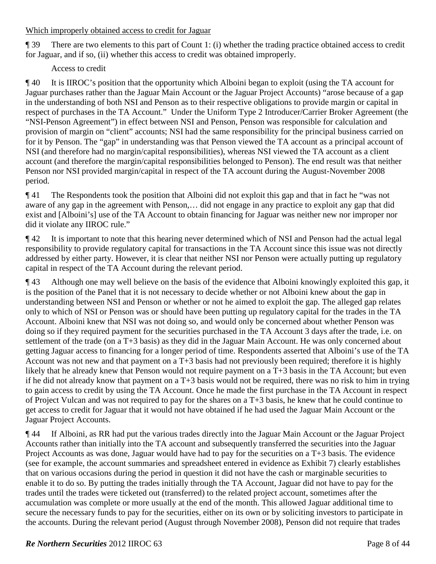#### Which improperly obtained access to credit for Jaguar

¶ 39 There are two elements to this part of Count 1: (i) whether the trading practice obtained access to credit for Jaguar, and if so, (ii) whether this access to credit was obtained improperly.

# Access to credit

¶ 40 It is IIROC's position that the opportunity which Alboini began to exploit (using the TA account for Jaguar purchases rather than the Jaguar Main Account or the Jaguar Project Accounts) "arose because of a gap in the understanding of both NSI and Penson as to their respective obligations to provide margin or capital in respect of purchases in the TA Account." Under the Uniform Type 2 Introducer/Carrier Broker Agreement (the "NSI-Penson Agreement") in effect between NSI and Penson, Penson was responsible for calculation and provision of margin on "client" accounts; NSI had the same responsibility for the principal business carried on for it by Penson. The "gap" in understanding was that Penson viewed the TA account as a principal account of NSI (and therefore had no margin/capital responsibilities), whereas NSI viewed the TA account as a client account (and therefore the margin/capital responsibilities belonged to Penson). The end result was that neither Penson nor NSI provided margin/capital in respect of the TA account during the August-November 2008 period.

¶ 41 The Respondents took the position that Alboini did not exploit this gap and that in fact he "was not aware of any gap in the agreement with Penson,… did not engage in any practice to exploit any gap that did exist and [Alboini's] use of the TA Account to obtain financing for Jaguar was neither new nor improper nor did it violate any IIROC rule."

¶ 42 It is important to note that this hearing never determined which of NSI and Penson had the actual legal responsibility to provide regulatory capital for transactions in the TA Account since this issue was not directly addressed by either party. However, it is clear that neither NSI nor Penson were actually putting up regulatory capital in respect of the TA Account during the relevant period.

¶ 43 Although one may well believe on the basis of the evidence that Alboini knowingly exploited this gap, it is the position of the Panel that it is not necessary to decide whether or not Alboini knew about the gap in understanding between NSI and Penson or whether or not he aimed to exploit the gap. The alleged gap relates only to which of NSI or Penson was or should have been putting up regulatory capital for the trades in the TA Account. Alboini knew that NSI was not doing so, and would only be concerned about whether Penson was doing so if they required payment for the securities purchased in the TA Account 3 days after the trade, i.e. on settlement of the trade (on a T+3 basis) as they did in the Jaguar Main Account. He was only concerned about getting Jaguar access to financing for a longer period of time. Respondents asserted that Alboini's use of the TA Account was not new and that payment on a T+3 basis had not previously been required; therefore it is highly likely that he already knew that Penson would not require payment on a T+3 basis in the TA Account; but even if he did not already know that payment on a T+3 basis would not be required, there was no risk to him in trying to gain access to credit by using the TA Account. Once he made the first purchase in the TA Account in respect of Project Vulcan and was not required to pay for the shares on a T+3 basis, he knew that he could continue to get access to credit for Jaguar that it would not have obtained if he had used the Jaguar Main Account or the Jaguar Project Accounts.

¶ 44 If Alboini, as RR had put the various trades directly into the Jaguar Main Account or the Jaguar Project Accounts rather than initially into the TA account and subsequently transferred the securities into the Jaguar Project Accounts as was done, Jaguar would have had to pay for the securities on a T+3 basis. The evidence (see for example, the account summaries and spreadsheet entered in evidence as Exhibit 7) clearly establishes that on various occasions during the period in question it did not have the cash or marginable securities to enable it to do so. By putting the trades initially through the TA Account, Jaguar did not have to pay for the trades until the trades were ticketed out (transferred) to the related project account, sometimes after the accumulation was complete or more usually at the end of the month. This allowed Jaguar additional time to secure the necessary funds to pay for the securities, either on its own or by soliciting investors to participate in the accounts. During the relevant period (August through November 2008), Penson did not require that trades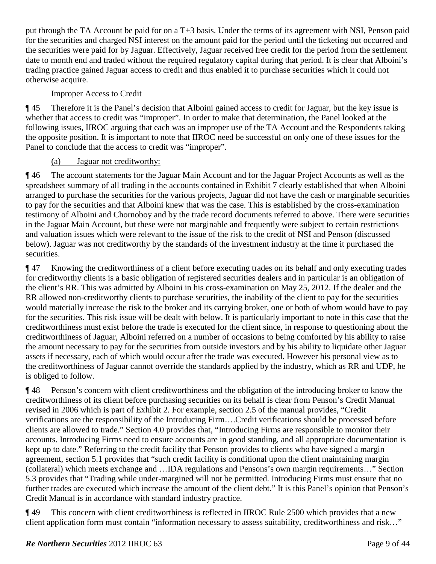put through the TA Account be paid for on a T+3 basis. Under the terms of its agreement with NSI, Penson paid for the securities and charged NSI interest on the amount paid for the period until the ticketing out occurred and the securities were paid for by Jaguar. Effectively, Jaguar received free credit for the period from the settlement date to month end and traded without the required regulatory capital during that period. It is clear that Alboini's trading practice gained Jaguar access to credit and thus enabled it to purchase securities which it could not otherwise acquire.

Improper Access to Credit

¶ 45 Therefore it is the Panel's decision that Alboini gained access to credit for Jaguar, but the key issue is whether that access to credit was "improper". In order to make that determination, the Panel looked at the following issues, IIROC arguing that each was an improper use of the TA Account and the Respondents taking the opposite position. It is important to note that IIROC need be successful on only one of these issues for the Panel to conclude that the access to credit was "improper".

### (a) Jaguar not creditworthy:

¶ 46 The account statements for the Jaguar Main Account and for the Jaguar Project Accounts as well as the spreadsheet summary of all trading in the accounts contained in Exhibit 7 clearly established that when Alboini arranged to purchase the securities for the various projects, Jaguar did not have the cash or marginable securities to pay for the securities and that Alboini knew that was the case. This is established by the cross-examination testimony of Alboini and Chornoboy and by the trade record documents referred to above. There were securities in the Jaguar Main Account, but these were not marginable and frequently were subject to certain restrictions and valuation issues which were relevant to the issue of the risk to the credit of NSI and Penson (discussed below). Jaguar was not creditworthy by the standards of the investment industry at the time it purchased the securities.

¶ 47 Knowing the creditworthiness of a client before executing trades on its behalf and only executing trades for creditworthy clients is a basic obligation of registered securities dealers and in particular is an obligation of the client's RR. This was admitted by Alboini in his cross-examination on May 25, 2012. If the dealer and the RR allowed non-creditworthy clients to purchase securities, the inability of the client to pay for the securities would materially increase the risk to the broker and its carrying broker, one or both of whom would have to pay for the securities. This risk issue will be dealt with below. It is particularly important to note in this case that the creditworthiness must exist before the trade is executed for the client since, in response to questioning about the creditworthiness of Jaguar, Alboini referred on a number of occasions to being comforted by his ability to raise the amount necessary to pay for the securities from outside investors and by his ability to liquidate other Jaguar assets if necessary, each of which would occur after the trade was executed. However his personal view as to the creditworthiness of Jaguar cannot override the standards applied by the industry, which as RR and UDP, he is obliged to follow.

¶ 48 Penson's concern with client creditworthiness and the obligation of the introducing broker to know the creditworthiness of its client before purchasing securities on its behalf is clear from Penson's Credit Manual revised in 2006 which is part of Exhibit 2. For example, section 2.5 of the manual provides, "Credit verifications are the responsibility of the Introducing Firm….Credit verifications should be processed before clients are allowed to trade." Section 4.0 provides that, "Introducing Firms are responsible to monitor their accounts. Introducing Firms need to ensure accounts are in good standing, and all appropriate documentation is kept up to date." Referring to the credit facility that Penson provides to clients who have signed a margin agreement, section 5.1 provides that "such credit facility is conditional upon the client maintaining margin (collateral) which meets exchange and …IDA regulations and Pensons's own margin requirements…" Section 5.3 provides that "Trading while under-margined will not be permitted. Introducing Firms must ensure that no further trades are executed which increase the amount of the client debt." It is this Panel's opinion that Penson's Credit Manual is in accordance with standard industry practice.

¶ 49 This concern with client creditworthiness is reflected in IIROC Rule 2500 which provides that a new client application form must contain "information necessary to assess suitability, creditworthiness and risk…"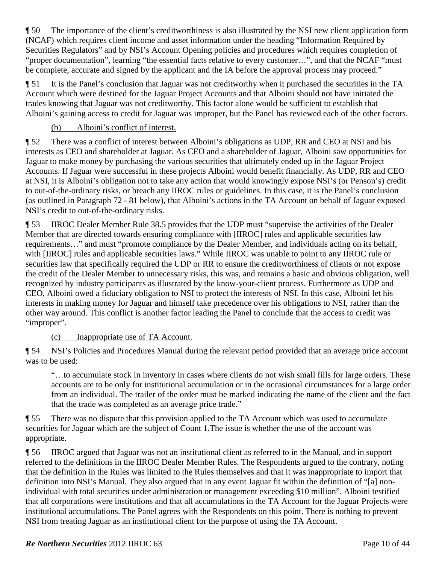¶ 50 The importance of the client's creditworthiness is also illustrated by the NSI new client application form (NCAF) which requires client income and asset information under the heading "Information Required by Securities Regulators" and by NSI's Account Opening policies and procedures which requires completion of "proper documentation", learning "the essential facts relative to every customer…", and that the NCAF "must be complete, accurate and signed by the applicant and the IA before the approval process may proceed."

¶ 51 It is the Panel's conclusion that Jaguar was not creditworthy when it purchased the securities in the TA Account which were destined for the Jaguar Project Accounts and that Alboini should not have initiated the trades knowing that Jaguar was not creditworthy. This factor alone would be sufficient to establish that Alboini's gaining access to credit for Jaguar was improper, but the Panel has reviewed each of the other factors.

# (b) Alboini's conflict of interest.

¶ 52 There was a conflict of interest between Alboini's obligations as UDP, RR and CEO at NSI and his interests as CEO and shareholder at Jaguar. As CEO and a shareholder of Jaguar, Alboini saw opportunities for Jaguar to make money by purchasing the various securities that ultimately ended up in the Jaguar Project Accounts. If Jaguar were successful in these projects Alboini would benefit financially. As UDP, RR and CEO at NSI, it is Alboini's obligation not to take any action that would knowingly expose NSI's (or Penson's) credit to out-of-the-ordinary risks, or breach any IIROC rules or guidelines. In this case, it is the Panel's conclusion (as outlined in Paragraph 72 - 81 below), that Alboini's actions in the TA Account on behalf of Jaguar exposed NSI's credit to out-of-the-ordinary risks.

¶ 53 IIROC Dealer Member Rule 38.5 provides that the UDP must "supervise the activities of the Dealer Member that are directed towards ensuring compliance with [IIROC] rules and applicable securities law requirements…" and must "promote compliance by the Dealer Member, and individuals acting on its behalf, with [IIROC] rules and applicable securities laws." While IIROC was unable to point to any IIROC rule or securities law that specifically required the UDP or RR to ensure the creditworthiness of clients or not expose the credit of the Dealer Member to unnecessary risks, this was, and remains a basic and obvious obligation, well recognized by industry participants as illustrated by the know-your-client process. Furthermore as UDP and CEO, Alboini owed a fiduciary obligation to NSI to protect the interests of NSI. In this case, Alboini let his interests in making money for Jaguar and himself take precedence over his obligations to NSI, rather than the other way around. This conflict is another factor leading the Panel to conclude that the access to credit was "improper".

(c) Inappropriate use of TA Account.

¶ 54 NSI's Policies and Procedures Manual during the relevant period provided that an average price account was to be used:

"…to accumulate stock in inventory in cases where clients do not wish small fills for large orders. These accounts are to be only for institutional accumulation or in the occasional circumstances for a large order from an individual. The trailer of the order must be marked indicating the name of the client and the fact that the trade was completed as an average price trade."

¶ 55 There was no dispute that this provision applied to the TA Account which was used to accumulate securities for Jaguar which are the subject of Count 1.The issue is whether the use of the account was appropriate.

¶ 56 IIROC argued that Jaguar was not an institutional client as referred to in the Manual, and in support referred to the definitions in the IIROC Dealer Member Rules. The Respondents argued to the contrary, noting that the definition in the Rules was limited to the Rules themselves and that it was inappropriate to import that definition into NSI's Manual. They also argued that in any event Jaguar fit within the definition of "[a] nonindividual with total securities under administration or management exceeding \$10 million". Alboini testified that all corporations were institutions and that all accumulations in the TA Account for the Jaguar Projects were institutional accumulations. The Panel agrees with the Respondents on this point. There is nothing to prevent NSI from treating Jaguar as an institutional client for the purpose of using the TA Account.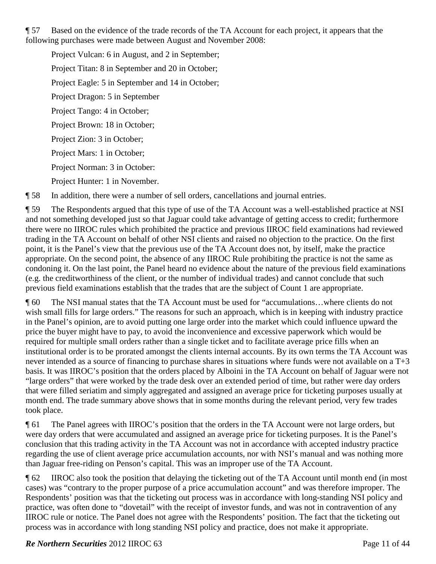¶ 57 Based on the evidence of the trade records of the TA Account for each project, it appears that the following purchases were made between August and November 2008:

Project Vulcan: 6 in August, and 2 in September; Project Titan: 8 in September and 20 in October; Project Eagle: 5 in September and 14 in October; Project Dragon: 5 in September Project Tango: 4 in October; Project Brown: 18 in October; Project Zion: 3 in October; Project Mars: 1 in October; Project Norman: 3 in October: Project Hunter: 1 in November.

¶ 58 In addition, there were a number of sell orders, cancellations and journal entries.

¶ 59 The Respondents argued that this type of use of the TA Account was a well-established practice at NSI and not something developed just so that Jaguar could take advantage of getting access to credit; furthermore there were no IIROC rules which prohibited the practice and previous IIROC field examinations had reviewed trading in the TA Account on behalf of other NSI clients and raised no objection to the practice. On the first point, it is the Panel's view that the previous use of the TA Account does not, by itself, make the practice appropriate. On the second point, the absence of any IIROC Rule prohibiting the practice is not the same as condoning it. On the last point, the Panel heard no evidence about the nature of the previous field examinations (e.g. the creditworthiness of the client, or the number of individual trades) and cannot conclude that such previous field examinations establish that the trades that are the subject of Count 1 are appropriate.

¶ 60 The NSI manual states that the TA Account must be used for "accumulations…where clients do not wish small fills for large orders." The reasons for such an approach, which is in keeping with industry practice in the Panel's opinion, are to avoid putting one large order into the market which could influence upward the price the buyer might have to pay, to avoid the inconvenience and excessive paperwork which would be required for multiple small orders rather than a single ticket and to facilitate average price fills when an institutional order is to be prorated amongst the clients internal accounts. By its own terms the TA Account was never intended as a source of financing to purchase shares in situations where funds were not available on a T+3 basis. It was IIROC's position that the orders placed by Alboini in the TA Account on behalf of Jaguar were not "large orders" that were worked by the trade desk over an extended period of time, but rather were day orders that were filled seriatim and simply aggregated and assigned an average price for ticketing purposes usually at month end. The trade summary above shows that in some months during the relevant period, very few trades took place.

¶ 61 The Panel agrees with IIROC's position that the orders in the TA Account were not large orders, but were day orders that were accumulated and assigned an average price for ticketing purposes. It is the Panel's conclusion that this trading activity in the TA Account was not in accordance with accepted industry practice regarding the use of client average price accumulation accounts, nor with NSI's manual and was nothing more than Jaguar free-riding on Penson's capital. This was an improper use of the TA Account.

¶ 62 IIROC also took the position that delaying the ticketing out of the TA Account until month end (in most cases) was "contrary to the proper purpose of a price accumulation account" and was therefore improper. The Respondents' position was that the ticketing out process was in accordance with long-standing NSI policy and practice, was often done to "dovetail" with the receipt of investor funds, and was not in contravention of any IIROC rule or notice. The Panel does not agree with the Respondents' position. The fact that the ticketing out process was in accordance with long standing NSI policy and practice, does not make it appropriate.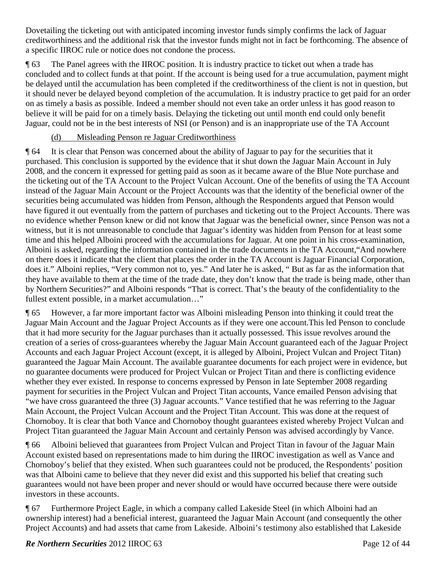Dovetailing the ticketing out with anticipated incoming investor funds simply confirms the lack of Jaguar creditworthiness and the additional risk that the investor funds might not in fact be forthcoming. The absence of a specific IIROC rule or notice does not condone the process.

¶ 63 The Panel agrees with the IIROC position. It is industry practice to ticket out when a trade has concluded and to collect funds at that point. If the account is being used for a true accumulation, payment might be delayed until the accumulation has been completed if the creditworthiness of the client is not in question, but it should never be delayed beyond completion of the accumulation. It is industry practice to get paid for an order on as timely a basis as possible. Indeed a member should not even take an order unless it has good reason to believe it will be paid for on a timely basis. Delaying the ticketing out until month end could only benefit Jaguar, could not be in the best interests of NSI (or Penson) and is an inappropriate use of the TA Account

### (d) Misleading Penson re Jaguar Creditworthiness

¶ 64 It is clear that Penson was concerned about the ability of Jaguar to pay for the securities that it purchased. This conclusion is supported by the evidence that it shut down the Jaguar Main Account in July 2008, and the concern it expressed for getting paid as soon as it became aware of the Blue Note purchase and the ticketing out of the TA Account to the Project Vulcan Account. One of the benefits of using the TA Account instead of the Jaguar Main Account or the Project Accounts was that the identity of the beneficial owner of the securities being accumulated was hidden from Penson, although the Respondents argued that Penson would have figured it out eventually from the pattern of purchases and ticketing out to the Project Accounts. There was no evidence whether Penson knew or did not know that Jaguar was the beneficial owner, since Penson was not a witness, but it is not unreasonable to conclude that Jaguar's identity was hidden from Penson for at least some time and this helped Alboini proceed with the accumulations for Jaguar. At one point in his cross-examination, Alboini is asked, regarding the information contained in the trade documents in the TA Account,"And nowhere on there does it indicate that the client that places the order in the TA Account is Jaguar Financial Corporation, does it." Alboini replies, "Very common not to, yes." And later he is asked, " But as far as the information that they have available to them at the time of the trade date, they don't know that the trade is being made, other than by Northern Securities?" and Alboini responds "That is correct. That's the beauty of the confidentiality to the fullest extent possible, in a market accumulation…"

¶ 65 However, a far more important factor was Alboini misleading Penson into thinking it could treat the Jaguar Main Account and the Jaguar Project Accounts as if they were one account.This led Penson to conclude that it had more security for the Jaguar purchases than it actually possessed. This issue revolves around the creation of a series of cross-guarantees whereby the Jaguar Main Account guaranteed each of the Jaguar Project Accounts and each Jaguar Project Account (except, it is alleged by Alboini, Project Vulcan and Project Titan) guaranteed the Jaguar Main Account. The available guarantee documents for each project were in evidence, but no guarantee documents were produced for Project Vulcan or Project Titan and there is conflicting evidence whether they ever existed. In response to concerns expressed by Penson in late September 2008 regarding payment for securities in the Project Vulcan and Project Titan accounts, Vance emailed Penson advising that "we have cross guaranteed the three (3) Jaguar accounts." Vance testified that he was referring to the Jaguar Main Account, the Project Vulcan Account and the Project Titan Account. This was done at the request of Chornoboy. It is clear that both Vance and Chornoboy thought guarantees existed whereby Project Vulcan and Project Titan guaranteed the Jaguar Main Account and certainly Penson was advised accordingly by Vance.

¶ 66 Alboini believed that guarantees from Project Vulcan and Project Titan in favour of the Jaguar Main Account existed based on representations made to him during the IIROC investigation as well as Vance and Chornoboy's belief that they existed. When such guarantees could not be produced, the Respondents' position was that Alboini came to believe that they never did exist and this supported his belief that creating such guarantees would not have been proper and never should or would have occurred because there were outside investors in these accounts.

¶ 67 Furthermore Project Eagle, in which a company called Lakeside Steel (in which Alboini had an ownership interest) had a beneficial interest, guaranteed the Jaguar Main Account (and consequently the other Project Accounts) and had assets that came from Lakeside. Alboini's testimony also established that Lakeside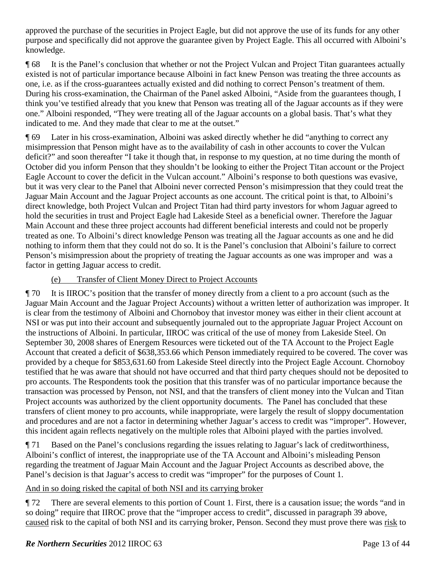approved the purchase of the securities in Project Eagle, but did not approve the use of its funds for any other purpose and specifically did not approve the guarantee given by Project Eagle. This all occurred with Alboini's knowledge.

¶ 68 It is the Panel's conclusion that whether or not the Project Vulcan and Project Titan guarantees actually existed is not of particular importance because Alboini in fact knew Penson was treating the three accounts as one, i.e. as if the cross-guarantees actually existed and did nothing to correct Penson's treatment of them. During his cross-examination, the Chairman of the Panel asked Alboini, "Aside from the guarantees though, I think you've testified already that you knew that Penson was treating all of the Jaguar accounts as if they were one." Alboini responded, "They were treating all of the Jaguar accounts on a global basis. That's what they indicated to me. And they made that clear to me at the outset."

¶ 69 Later in his cross-examination, Alboini was asked directly whether he did "anything to correct any misimpression that Penson might have as to the availability of cash in other accounts to cover the Vulcan deficit?" and soon thereafter "I take it though that, in response to my question, at no time during the month of October did you inform Penson that they shouldn't be looking to either the Project Titan account or the Project Eagle Account to cover the deficit in the Vulcan account." Alboini's response to both questions was evasive, but it was very clear to the Panel that Alboini never corrected Penson's misimpression that they could treat the Jaguar Main Account and the Jaguar Project accounts as one account. The critical point is that, to Alboini's direct knowledge, both Project Vulcan and Project Titan had third party investors for whom Jaguar agreed to hold the securities in trust and Project Eagle had Lakeside Steel as a beneficial owner. Therefore the Jaguar Main Account and these three project accounts had different beneficial interests and could not be properly treated as one. To Alboini's direct knowledge Penson was treating all the Jaguar accounts as one and he did nothing to inform them that they could not do so. It is the Panel's conclusion that Alboini's failure to correct Penson's misimpression about the propriety of treating the Jaguar accounts as one was improper and was a factor in getting Jaguar access to credit.

### (e) Transfer of Client Money Direct to Project Accounts

¶ 70 It is IIROC's position that the transfer of money directly from a client to a pro account (such as the Jaguar Main Account and the Jaguar Project Accounts) without a written letter of authorization was improper. It is clear from the testimony of Alboini and Chornoboy that investor money was either in their client account at NSI or was put into their account and subsequently journaled out to the appropriate Jaguar Project Account on the instructions of Alboini. In particular, IIROC was critical of the use of money from Lakeside Steel. On September 30, 2008 shares of Energem Resources were ticketed out of the TA Account to the Project Eagle Account that created a deficit of \$638,353.66 which Penson immediately required to be covered. The cover was provided by a cheque for \$853,631.60 from Lakeside Steel directly into the Project Eagle Account. Chornoboy testified that he was aware that should not have occurred and that third party cheques should not be deposited to pro accounts. The Respondents took the position that this transfer was of no particular importance because the transaction was processed by Penson, not NSI, and that the transfers of client money into the Vulcan and Titan Project accounts was authorized by the client opportunity documents. The Panel has concluded that these transfers of client money to pro accounts, while inappropriate, were largely the result of sloppy documentation and procedures and are not a factor in determining whether Jaguar's access to credit was "improper". However, this incident again reflects negatively on the multiple roles that Alboini played with the parties involved.

¶ 71 Based on the Panel's conclusions regarding the issues relating to Jaguar's lack of creditworthiness, Alboini's conflict of interest, the inappropriate use of the TA Account and Alboini's misleading Penson regarding the treatment of Jaguar Main Account and the Jaguar Project Accounts as described above, the Panel's decision is that Jaguar's access to credit was "improper" for the purposes of Count 1.

### And in so doing risked the capital of both NSI and its carrying broker

¶ 72 There are several elements to this portion of Count 1. First, there is a causation issue; the words "and in so doing" require that IIROC prove that the "improper access to credit", discussed in paragraph 39 above, caused risk to the capital of both NSI and its carrying broker, Penson. Second they must prove there was risk to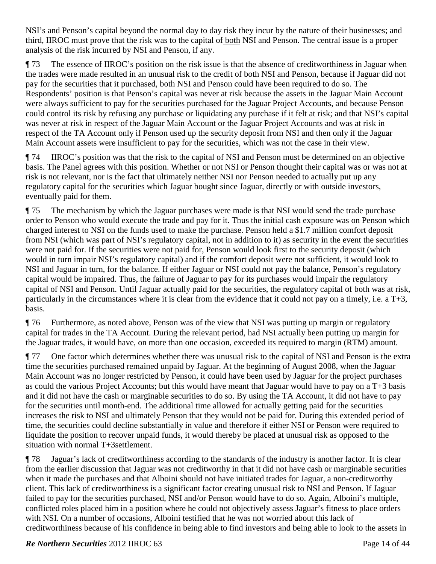NSI's and Penson's capital beyond the normal day to day risk they incur by the nature of their businesses; and third, IIROC must prove that the risk was to the capital of both NSI and Penson. The central issue is a proper analysis of the risk incurred by NSI and Penson, if any.

¶ 73 The essence of IIROC's position on the risk issue is that the absence of creditworthiness in Jaguar when the trades were made resulted in an unusual risk to the credit of both NSI and Penson, because if Jaguar did not pay for the securities that it purchased, both NSI and Penson could have been required to do so. The Respondents' position is that Penson's capital was never at risk because the assets in the Jaguar Main Account were always sufficient to pay for the securities purchased for the Jaguar Project Accounts, and because Penson could control its risk by refusing any purchase or liquidating any purchase if it felt at risk; and that NSI's capital was never at risk in respect of the Jaguar Main Account or the Jaguar Project Accounts and was at risk in respect of the TA Account only if Penson used up the security deposit from NSI and then only if the Jaguar Main Account assets were insufficient to pay for the securities, which was not the case in their view.

¶ 74 IIROC's position was that the risk to the capital of NSI and Penson must be determined on an objective basis. The Panel agrees with this position. Whether or not NSI or Penson thought their capital was or was not at risk is not relevant, nor is the fact that ultimately neither NSI nor Penson needed to actually put up any regulatory capital for the securities which Jaguar bought since Jaguar, directly or with outside investors, eventually paid for them.

¶ 75 The mechanism by which the Jaguar purchases were made is that NSI would send the trade purchase order to Penson who would execute the trade and pay for it. Thus the initial cash exposure was on Penson which charged interest to NSI on the funds used to make the purchase. Penson held a \$1.7 million comfort deposit from NSI (which was part of NSI's regulatory capital, not in addition to it) as security in the event the securities were not paid for. If the securities were not paid for, Penson would look first to the security deposit (which would in turn impair NSI's regulatory capital) and if the comfort deposit were not sufficient, it would look to NSI and Jaguar in turn, for the balance. If either Jaguar or NSI could not pay the balance, Penson's regulatory capital would be impaired. Thus, the failure of Jaguar to pay for its purchases would impair the regulatory capital of NSI and Penson. Until Jaguar actually paid for the securities, the regulatory capital of both was at risk, particularly in the circumstances where it is clear from the evidence that it could not pay on a timely, i.e. a T+3, basis.

¶ 76 Furthermore, as noted above, Penson was of the view that NSI was putting up margin or regulatory capital for trades in the TA Account. During the relevant period, had NSI actually been putting up margin for the Jaguar trades, it would have, on more than one occasion, exceeded its required to margin (RTM) amount.

¶ 77 One factor which determines whether there was unusual risk to the capital of NSI and Penson is the extra time the securities purchased remained unpaid by Jaguar. At the beginning of August 2008, when the Jaguar Main Account was no longer restricted by Penson, it could have been used by Jaguar for the project purchases as could the various Project Accounts; but this would have meant that Jaguar would have to pay on a T+3 basis and it did not have the cash or marginable securities to do so. By using the TA Account, it did not have to pay for the securities until month-end. The additional time allowed for actually getting paid for the securities increases the risk to NSI and ultimately Penson that they would not be paid for. During this extended period of time, the securities could decline substantially in value and therefore if either NSI or Penson were required to liquidate the position to recover unpaid funds, it would thereby be placed at unusual risk as opposed to the situation with normal T+3settlement.

¶ 78 Jaguar's lack of creditworthiness according to the standards of the industry is another factor. It is clear from the earlier discussion that Jaguar was not creditworthy in that it did not have cash or marginable securities when it made the purchases and that Alboini should not have initiated trades for Jaguar, a non-creditworthy client. This lack of creditworthiness is a significant factor creating unusual risk to NSI and Penson. If Jaguar failed to pay for the securities purchased, NSI and/or Penson would have to do so. Again, Alboini's multiple, conflicted roles placed him in a position where he could not objectively assess Jaguar's fitness to place orders with NSI. On a number of occasions, Alboini testified that he was not worried about this lack of creditworthiness because of his confidence in being able to find investors and being able to look to the assets in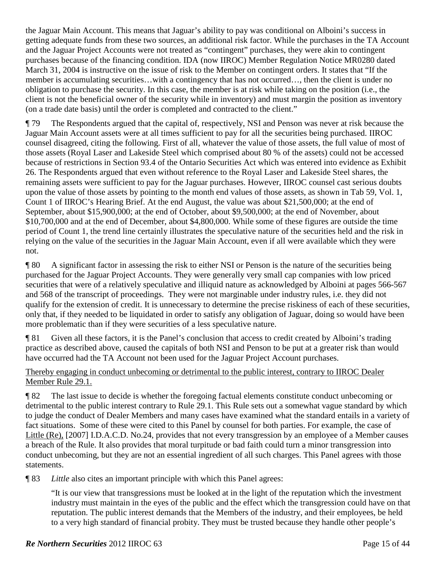the Jaguar Main Account. This means that Jaguar's ability to pay was conditional on Alboini's success in getting adequate funds from these two sources, an additional risk factor. While the purchases in the TA Account and the Jaguar Project Accounts were not treated as "contingent" purchases, they were akin to contingent purchases because of the financing condition. IDA (now IIROC) Member Regulation Notice MR0280 dated March 31, 2004 is instructive on the issue of risk to the Member on contingent orders. It states that "If the member is accumulating securities…with a contingency that has not occurred…, then the client is under no obligation to purchase the security. In this case, the member is at risk while taking on the position (i.e., the client is not the beneficial owner of the security while in inventory) and must margin the position as inventory (on a trade date basis) until the order is completed and contracted to the client."

¶ 79 The Respondents argued that the capital of, respectively, NSI and Penson was never at risk because the Jaguar Main Account assets were at all times sufficient to pay for all the securities being purchased. IIROC counsel disagreed, citing the following. First of all, whatever the value of those assets, the full value of most of those assets (Royal Laser and Lakeside Steel which comprised about 80 % of the assets) could not be accessed because of restrictions in Section 93.4 of the Ontario Securities Act which was entered into evidence as Exhibit 26. The Respondents argued that even without reference to the Royal Laser and Lakeside Steel shares, the remaining assets were sufficient to pay for the Jaguar purchases. However, IIROC counsel cast serious doubts upon the value of those assets by pointing to the month end values of those assets, as shown in Tab 59, Vol. 1, Count 1 of IIROC's Hearing Brief. At the end August, the value was about \$21,500,000; at the end of September, about \$15,900,000; at the end of October, about \$9,500,000; at the end of November, about \$10,700,000 and at the end of December, about \$4,800,000. While some of these figures are outside the time period of Count 1, the trend line certainly illustrates the speculative nature of the securities held and the risk in relying on the value of the securities in the Jaguar Main Account, even if all were available which they were not.

¶ 80 A significant factor in assessing the risk to either NSI or Penson is the nature of the securities being purchased for the Jaguar Project Accounts. They were generally very small cap companies with low priced securities that were of a relatively speculative and illiquid nature as acknowledged by Alboini at pages 566-567 and 568 of the transcript of proceedings. They were not marginable under industry rules, i.e. they did not qualify for the extension of credit. It is unnecessary to determine the precise riskiness of each of these securities, only that, if they needed to be liquidated in order to satisfy any obligation of Jaguar, doing so would have been more problematic than if they were securities of a less speculative nature.

¶ 81 Given all these factors, it is the Panel's conclusion that access to credit created by Alboini's trading practice as described above, caused the capitals of both NSI and Penson to be put at a greater risk than would have occurred had the TA Account not been used for the Jaguar Project Account purchases.

### Thereby engaging in conduct unbecoming or detrimental to the public interest, contrary to IIROC Dealer Member Rule 29.1.

¶ 82 The last issue to decide is whether the foregoing factual elements constitute conduct unbecoming or detrimental to the public interest contrary to Rule 29.1. This Rule sets out a somewhat vague standard by which to judge the conduct of Dealer Members and many cases have examined what the standard entails in a variety of fact situations. Some of these were cited to this Panel by counsel for both parties. For example, the case of Little (Re), [2007] I.D.A.C.D. No.24, provides that not every transgression by an employee of a Member causes a breach of the Rule. It also provides that moral turpitude or bad faith could turn a minor transgression into conduct unbecoming, but they are not an essential ingredient of all such charges. This Panel agrees with those statements.

¶ 83 *Little* also cites an important principle with which this Panel agrees:

"It is our view that transgressions must be looked at in the light of the reputation which the investment industry must maintain in the eyes of the public and the effect which the transgression could have on that reputation. The public interest demands that the Members of the industry, and their employees, be held to a very high standard of financial probity. They must be trusted because they handle other people's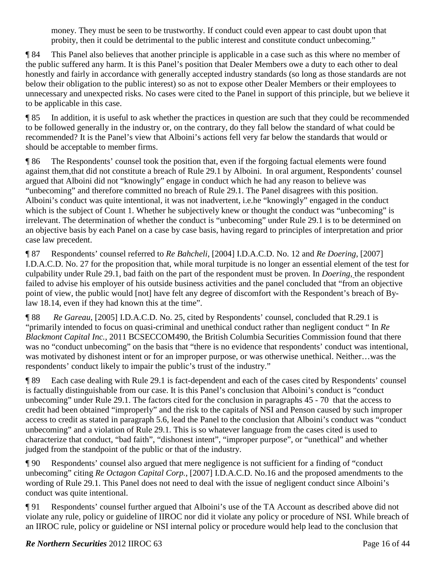money. They must be seen to be trustworthy. If conduct could even appear to cast doubt upon that probity, then it could be detrimental to the public interest and constitute conduct unbecoming."

¶ 84 This Panel also believes that another principle is applicable in a case such as this where no member of the public suffered any harm. It is this Panel's position that Dealer Members owe a duty to each other to deal honestly and fairly in accordance with generally accepted industry standards (so long as those standards are not below their obligation to the public interest) so as not to expose other Dealer Members or their employees to unnecessary and unexpected risks. No cases were cited to the Panel in support of this principle, but we believe it to be applicable in this case.

¶ 85 In addition, it is useful to ask whether the practices in question are such that they could be recommended to be followed generally in the industry or, on the contrary, do they fall below the standard of what could be recommended? It is the Panel's view that Alboini's actions fell very far below the standards that would or should be acceptable to member firms.

¶ 86 The Respondents' counsel took the position that, even if the forgoing factual elements were found against them,that did not constitute a breach of Rule 29.1 by Alboini. In oral argument, Respondents' counsel argued that Alboini did not "knowingly" engage in conduct which he had any reason to believe was "unbecoming" and therefore committed no breach of Rule 29.1. The Panel disagrees with this position. Alboini's conduct was quite intentional, it was not inadvertent, i.e.he "knowingly" engaged in the conduct which is the subject of Count 1. Whether he subjectively knew or thought the conduct was "unbecoming" is irrelevant. The determination of whether the conduct is "unbecoming" under Rule 29.1 is to be determined on an objective basis by each Panel on a case by case basis, having regard to principles of interpretation and prior case law precedent.

¶ 87 Respondents' counsel referred to *Re Bahcheli*, [2004] I.D.A.C.D. No. 12 and *Re Doering*, [2007] I.D.A.C.D. No. 27 for the proposition that, while moral turpitude is no longer an essential element of the test for culpability under Rule 29.1, bad faith on the part of the respondent must be proven. In *Doering*, the respondent failed to advise his employer of his outside business activities and the panel concluded that "from an objective point of view, the public would [not] have felt any degree of discomfort with the Respondent's breach of Bylaw 18.14, even if they had known this at the time".

¶ 88 *Re Gareau*, [2005] I.D.A.C.D. No. 25, cited by Respondents' counsel, concluded that R.29.1 is "primarily intended to focus on quasi-criminal and unethical conduct rather than negligent conduct " In *Re Blackmont Capital Inc.*, 2011 BCSECCOM490, the British Columbia Securities Commission found that there was no "conduct unbecoming" on the basis that "there is no evidence that respondents' conduct was intentional, was motivated by dishonest intent or for an improper purpose, or was otherwise unethical. Neither…was the respondents' conduct likely to impair the public's trust of the industry."

¶ 89 Each case dealing with Rule 29.1 is fact-dependent and each of the cases cited by Respondents' counsel is factually distinguishable from our case. It is this Panel's conclusion that Alboini's conduct is "conduct unbecoming" under Rule 29.1. The factors cited for the conclusion in paragraphs 45 - 70 that the access to credit had been obtained "improperly" and the risk to the capitals of NSI and Penson caused by such improper access to credit as stated in paragraph 5.6, lead the Panel to the conclusion that Alboini's conduct was "conduct unbecoming" and a violation of Rule 29.1. This is so whatever language from the cases cited is used to characterize that conduct, "bad faith", "dishonest intent", "improper purpose", or "unethical" and whether judged from the standpoint of the public or that of the industry.

¶ 90 Respondents' counsel also argued that mere negligence is not sufficient for a finding of "conduct unbecoming" citing *Re Octagon Capital Corp.*, [2007] I.D.A.C.D. No.16 and the proposed amendments to the wording of Rule 29.1. This Panel does not need to deal with the issue of negligent conduct since Alboini's conduct was quite intentional.

¶ 91 Respondents' counsel further argued that Alboini's use of the TA Account as described above did not violate any rule, policy or guideline of IIROC nor did it violate any policy or procedure of NSI. While breach of an IIROC rule, policy or guideline or NSI internal policy or procedure would help lead to the conclusion that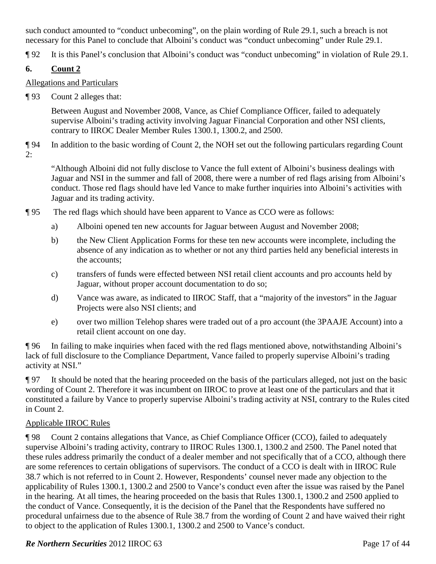such conduct amounted to "conduct unbecoming", on the plain wording of Rule 29.1, such a breach is not necessary for this Panel to conclude that Alboini's conduct was "conduct unbecoming" under Rule 29.1.

¶ 92 It is this Panel's conclusion that Alboini's conduct was "conduct unbecoming" in violation of Rule 29.1.

# **6. Count 2**

# Allegations and Particulars

¶ 93 Count 2 alleges that:

Between August and November 2008, Vance, as Chief Compliance Officer, failed to adequately supervise Alboini's trading activity involving Jaguar Financial Corporation and other NSI clients, contrary to IIROC Dealer Member Rules 1300.1, 1300.2, and 2500.

¶ 94 In addition to the basic wording of Count 2, the NOH set out the following particulars regarding Count 2:

"Although Alboini did not fully disclose to Vance the full extent of Alboini's business dealings with Jaguar and NSI in the summer and fall of 2008, there were a number of red flags arising from Alboini's conduct. Those red flags should have led Vance to make further inquiries into Alboini's activities with Jaguar and its trading activity.

- ¶ 95 The red flags which should have been apparent to Vance as CCO were as follows:
	- a) Alboini opened ten new accounts for Jaguar between August and November 2008;
	- b) the New Client Application Forms for these ten new accounts were incomplete, including the absence of any indication as to whether or not any third parties held any beneficial interests in the accounts;
	- c) transfers of funds were effected between NSI retail client accounts and pro accounts held by Jaguar, without proper account documentation to do so;
	- d) Vance was aware, as indicated to IIROC Staff, that a "majority of the investors" in the Jaguar Projects were also NSI clients; and
	- e) over two million Telehop shares were traded out of a pro account (the 3PAAJE Account) into a retail client account on one day.

¶ 96 In failing to make inquiries when faced with the red flags mentioned above, notwithstanding Alboini's lack of full disclosure to the Compliance Department, Vance failed to properly supervise Alboini's trading activity at NSI."

¶ 97 It should be noted that the hearing proceeded on the basis of the particulars alleged, not just on the basic wording of Count 2. Therefore it was incumbent on IIROC to prove at least one of the particulars and that it constituted a failure by Vance to properly supervise Alboini's trading activity at NSI, contrary to the Rules cited in Count 2.

# Applicable IIROC Rules

¶ 98 Count 2 contains allegations that Vance, as Chief Compliance Officer (CCO), failed to adequately supervise Alboini's trading activity, contrary to IIROC Rules 1300.1, 1300.2 and 2500. The Panel noted that these rules address primarily the conduct of a dealer member and not specifically that of a CCO, although there are some references to certain obligations of supervisors. The conduct of a CCO is dealt with in IIROC Rule 38.7 which is not referred to in Count 2. However, Respondents' counsel never made any objection to the applicability of Rules 1300.1, 1300.2 and 2500 to Vance's conduct even after the issue was raised by the Panel in the hearing. At all times, the hearing proceeded on the basis that Rules 1300.1, 1300.2 and 2500 applied to the conduct of Vance. Consequently, it is the decision of the Panel that the Respondents have suffered no procedural unfairness due to the absence of Rule 38.7 from the wording of Count 2 and have waived their right to object to the application of Rules 1300.1, 1300.2 and 2500 to Vance's conduct.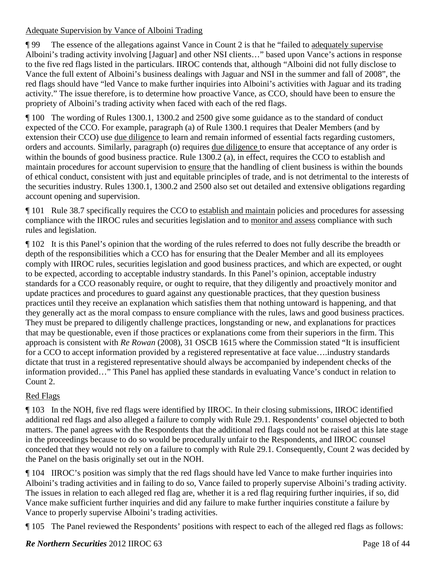### Adequate Supervision by Vance of Alboini Trading

¶ 99 The essence of the allegations against Vance in Count 2 is that he "failed to adequately supervise Alboini's trading activity involving [Jaguar] and other NSI clients…" based upon Vance's actions in response to the five red flags listed in the particulars. IIROC contends that, although "Alboini did not fully disclose to Vance the full extent of Alboini's business dealings with Jaguar and NSI in the summer and fall of 2008", the red flags should have "led Vance to make further inquiries into Alboini's activities with Jaguar and its trading activity." The issue therefore, is to determine how proactive Vance, as CCO, should have been to ensure the propriety of Alboini's trading activity when faced with each of the red flags.

¶ 100 The wording of Rules 1300.1, 1300.2 and 2500 give some guidance as to the standard of conduct expected of the CCO. For example, paragraph (a) of Rule 1300.1 requires that Dealer Members (and by extension their CCO) use due diligence to learn and remain informed of essential facts regarding customers, orders and accounts. Similarly, paragraph (o) requires due diligence to ensure that acceptance of any order is within the bounds of good business practice. Rule 1300.2 (a), in effect, requires the CCO to establish and maintain procedures for account supervision to ensure that the handling of client business is within the bounds of ethical conduct, consistent with just and equitable principles of trade, and is not detrimental to the interests of the securities industry. Rules 1300.1, 1300.2 and 2500 also set out detailed and extensive obligations regarding account opening and supervision.

¶ 101 Rule 38.7 specifically requires the CCO to establish and maintain policies and procedures for assessing compliance with the IIROC rules and securities legislation and to monitor and assess compliance with such rules and legislation.

¶ 102 It is this Panel's opinion that the wording of the rules referred to does not fully describe the breadth or depth of the responsibilities which a CCO has for ensuring that the Dealer Member and all its employees comply with IIROC rules, securities legislation and good business practices, and which are expected, or ought to be expected, according to acceptable industry standards. In this Panel's opinion, acceptable industry standards for a CCO reasonably require, or ought to require, that they diligently and proactively monitor and update practices and procedures to guard against any questionable practices, that they question business practices until they receive an explanation which satisfies them that nothing untoward is happening, and that they generally act as the moral compass to ensure compliance with the rules, laws and good business practices. They must be prepared to diligently challenge practices, longstanding or new, and explanations for practices that may be questionable, even if those practices or explanations come from their superiors in the firm. This approach is consistent with *Re Rowan* (2008), 31 OSCB 1615 where the Commission stated "It is insufficient for a CCO to accept information provided by a registered representative at face value….industry standards dictate that trust in a registered representative should always be accompanied by independent checks of the information provided…" This Panel has applied these standards in evaluating Vance's conduct in relation to Count 2.

# Red Flags

¶ 103 In the NOH, five red flags were identified by IIROC. In their closing submissions, IIROC identified additional red flags and also alleged a failure to comply with Rule 29.1. Respondents' counsel objected to both matters. The panel agrees with the Respondents that the additional red flags could not be raised at this late stage in the proceedings because to do so would be procedurally unfair to the Respondents, and IIROC counsel conceded that they would not rely on a failure to comply with Rule 29.1. Consequently, Count 2 was decided by the Panel on the basis originally set out in the NOH.

¶ 104 IIROC's position was simply that the red flags should have led Vance to make further inquiries into Alboini's trading activities and in failing to do so, Vance failed to properly supervise Alboini's trading activity. The issues in relation to each alleged red flag are, whether it is a red flag requiring further inquiries, if so, did Vance make sufficient further inquiries and did any failure to make further inquiries constitute a failure by Vance to properly supervise Alboini's trading activities.

¶ 105 The Panel reviewed the Respondents' positions with respect to each of the alleged red flags as follows: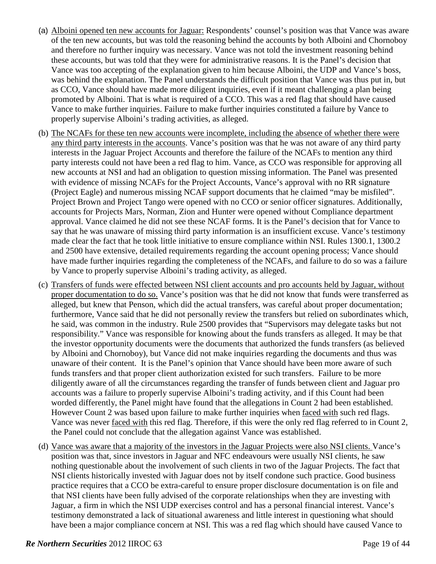- (a) Alboini opened ten new accounts for Jaguar: Respondents' counsel's position was that Vance was aware of the ten new accounts, but was told the reasoning behind the accounts by both Alboini and Chornoboy and therefore no further inquiry was necessary. Vance was not told the investment reasoning behind these accounts, but was told that they were for administrative reasons. It is the Panel's decision that Vance was too accepting of the explanation given to him because Alboini, the UDP and Vance's boss, was behind the explanation. The Panel understands the difficult position that Vance was thus put in, but as CCO, Vance should have made more diligent inquiries, even if it meant challenging a plan being promoted by Alboini. That is what is required of a CCO. This was a red flag that should have caused Vance to make further inquiries. Failure to make further inquiries constituted a failure by Vance to properly supervise Alboini's trading activities, as alleged.
- (b) The NCAFs for these ten new accounts were incomplete, including the absence of whether there were any third party interests in the accounts. Vance's position was that he was not aware of any third party interests in the Jaguar Project Accounts and therefore the failure of the NCAFs to mention any third party interests could not have been a red flag to him. Vance, as CCO was responsible for approving all new accounts at NSI and had an obligation to question missing information. The Panel was presented with evidence of missing NCAFs for the Project Accounts, Vance's approval with no RR signature (Project Eagle) and numerous missing NCAF support documents that he claimed "may be misfiled". Project Brown and Project Tango were opened with no CCO or senior officer signatures. Additionally, accounts for Projects Mars, Norman, Zion and Hunter were opened without Compliance department approval. Vance claimed he did not see these NCAF forms. It is the Panel's decision that for Vance to say that he was unaware of missing third party information is an insufficient excuse. Vance's testimony made clear the fact that he took little initiative to ensure compliance within NSI. Rules 1300.1, 1300.2 and 2500 have extensive, detailed requirements regarding the account opening process; Vance should have made further inquiries regarding the completeness of the NCAFs, and failure to do so was a failure by Vance to properly supervise Alboini's trading activity, as alleged.
- (c) Transfers of funds were effected between NSI client accounts and pro accounts held by Jaguar, without proper documentation to do so. Vance's position was that he did not know that funds were transferred as alleged, but knew that Penson, which did the actual transfers, was careful about proper documentation; furthermore, Vance said that he did not personally review the transfers but relied on subordinates which, he said, was common in the industry. Rule 2500 provides that "Supervisors may delegate tasks but not responsibility." Vance was responsible for knowing about the funds transfers as alleged. It may be that the investor opportunity documents were the documents that authorized the funds transfers (as believed by Alboini and Chornoboy), but Vance did not make inquiries regarding the documents and thus was unaware of their content. It is the Panel's opinion that Vance should have been more aware of such funds transfers and that proper client authorization existed for such transfers. Failure to be more diligently aware of all the circumstances regarding the transfer of funds between client and Jaguar pro accounts was a failure to properly supervise Alboini's trading activity, and if this Count had been worded differently, the Panel might have found that the allegations in Count 2 had been established. However Count 2 was based upon failure to make further inquiries when faced with such red flags. Vance was never faced with this red flag. Therefore, if this were the only red flag referred to in Count 2, the Panel could not conclude that the allegation against Vance was established.
- (d) Vance was aware that a majority of the investors in the Jaguar Projects were also NSI clients. Vance's position was that, since investors in Jaguar and NFC endeavours were usually NSI clients, he saw nothing questionable about the involvement of such clients in two of the Jaguar Projects. The fact that NSI clients historically invested with Jaguar does not by itself condone such practice. Good business practice requires that a CCO be extra-careful to ensure proper disclosure documentation is on file and that NSI clients have been fully advised of the corporate relationships when they are investing with Jaguar, a firm in which the NSI UDP exercises control and has a personal financial interest. Vance's testimony demonstrated a lack of situational awareness and little interest in questioning what should have been a major compliance concern at NSI. This was a red flag which should have caused Vance to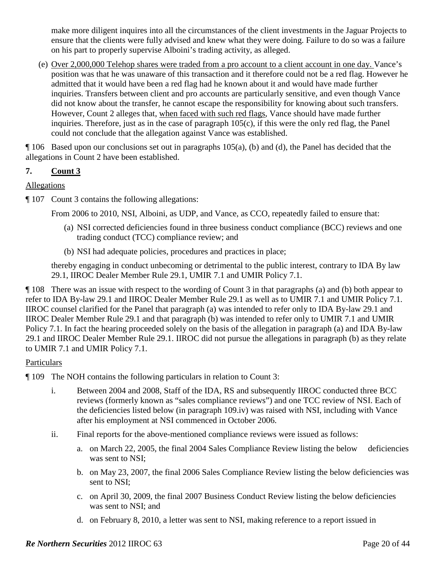make more diligent inquires into all the circumstances of the client investments in the Jaguar Projects to ensure that the clients were fully advised and knew what they were doing. Failure to do so was a failure on his part to properly supervise Alboini's trading activity, as alleged.

(e) Over 2,000,000 Telehop shares were traded from a pro account to a client account in one day. Vance's position was that he was unaware of this transaction and it therefore could not be a red flag. However he admitted that it would have been a red flag had he known about it and would have made further inquiries. Transfers between client and pro accounts are particularly sensitive, and even though Vance did not know about the transfer, he cannot escape the responsibility for knowing about such transfers. However, Count 2 alleges that, when faced with such red flags, Vance should have made further inquiries. Therefore, just as in the case of paragraph 105(c), if this were the only red flag, the Panel could not conclude that the allegation against Vance was established.

¶ 106 Based upon our conclusions set out in paragraphs 105(a), (b) and (d), the Panel has decided that the allegations in Count 2 have been established.

# **7. Count 3**

# Allegations

¶ 107 Count 3 contains the following allegations:

From 2006 to 2010, NSI, Alboini, as UDP, and Vance, as CCO, repeatedly failed to ensure that:

- (a) NSI corrected deficiencies found in three business conduct compliance (BCC) reviews and one trading conduct (TCC) compliance review; and
- (b) NSI had adequate policies, procedures and practices in place;

thereby engaging in conduct unbecoming or detrimental to the public interest, contrary to IDA By law 29.1, IIROC Dealer Member Rule 29.1, UMIR 7.1 and UMIR Policy 7.1.

¶ 108 There was an issue with respect to the wording of Count 3 in that paragraphs (a) and (b) both appear to refer to IDA By-law 29.1 and IIROC Dealer Member Rule 29.1 as well as to UMIR 7.1 and UMIR Policy 7.1. IIROC counsel clarified for the Panel that paragraph (a) was intended to refer only to IDA By-law 29.1 and IIROC Dealer Member Rule 29.1 and that paragraph (b) was intended to refer only to UMIR 7.1 and UMIR Policy 7.1. In fact the hearing proceeded solely on the basis of the allegation in paragraph (a) and IDA By-law 29.1 and IIROC Dealer Member Rule 29.1. IIROC did not pursue the allegations in paragraph (b) as they relate to UMIR 7.1 and UMIR Policy 7.1.

# **Particulars**

- ¶ 109 The NOH contains the following particulars in relation to Count 3:
	- i. Between 2004 and 2008, Staff of the IDA, RS and subsequently IIROC conducted three BCC reviews (formerly known as "sales compliance reviews") and one TCC review of NSI. Each of the deficiencies listed below (in paragraph 109.iv) was raised with NSI, including with Vance after his employment at NSI commenced in October 2006.
	- ii. Final reports for the above-mentioned compliance reviews were issued as follows:
		- a. on March 22, 2005, the final 2004 Sales Compliance Review listing the below deficiencies was sent to NSI;
		- b. on May 23, 2007, the final 2006 Sales Compliance Review listing the below deficiencies was sent to NSI;
		- c. on April 30, 2009, the final 2007 Business Conduct Review listing the below deficiencies was sent to NSI; and
		- d. on February 8, 2010, a letter was sent to NSI, making reference to a report issued in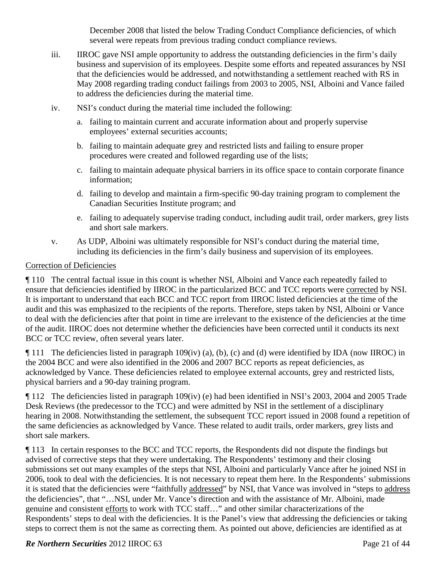December 2008 that listed the below Trading Conduct Compliance deficiencies, of which several were repeats from previous trading conduct compliance reviews.

- iii. IIROC gave NSI ample opportunity to address the outstanding deficiencies in the firm's daily business and supervision of its employees. Despite some efforts and repeated assurances by NSI that the deficiencies would be addressed, and notwithstanding a settlement reached with RS in May 2008 regarding trading conduct failings from 2003 to 2005, NSI, Alboini and Vance failed to address the deficiencies during the material time.
- iv. NSI's conduct during the material time included the following:
	- a. failing to maintain current and accurate information about and properly supervise employees' external securities accounts;
	- b. failing to maintain adequate grey and restricted lists and failing to ensure proper procedures were created and followed regarding use of the lists;
	- c. failing to maintain adequate physical barriers in its office space to contain corporate finance information;
	- d. failing to develop and maintain a firm-specific 90-day training program to complement the Canadian Securities Institute program; and
	- e. failing to adequately supervise trading conduct, including audit trail, order markers, grey lists and short sale markers.
- v. As UDP, Alboini was ultimately responsible for NSI's conduct during the material time, including its deficiencies in the firm's daily business and supervision of its employees.

#### Correction of Deficiencies

¶ 110 The central factual issue in this count is whether NSI, Alboini and Vance each repeatedly failed to ensure that deficiencies identified by IIROC in the particularized BCC and TCC reports were corrected by NSI. It is important to understand that each BCC and TCC report from IIROC listed deficiencies at the time of the audit and this was emphasized to the recipients of the reports. Therefore, steps taken by NSI, Alboini or Vance to deal with the deficiencies after that point in time are irrelevant to the existence of the deficiencies at the time of the audit. IIROC does not determine whether the deficiencies have been corrected until it conducts its next BCC or TCC review, often several years later.

¶ 111 The deficiencies listed in paragraph 109(iv) (a), (b), (c) and (d) were identified by IDA (now IIROC) in the 2004 BCC and were also identified in the 2006 and 2007 BCC reports as repeat deficiencies, as acknowledged by Vance. These deficiencies related to employee external accounts, grey and restricted lists, physical barriers and a 90-day training program.

¶ 112 The deficiencies listed in paragraph 109(iv) (e) had been identified in NSI's 2003, 2004 and 2005 Trade Desk Reviews (the predecessor to the TCC) and were admitted by NSI in the settlement of a disciplinary hearing in 2008. Notwithstanding the settlement, the subsequent TCC report issued in 2008 found a repetition of the same deficiencies as acknowledged by Vance. These related to audit trails, order markers, grey lists and short sale markers.

¶ 113 In certain responses to the BCC and TCC reports, the Respondents did not dispute the findings but advised of corrective steps that they were undertaking. The Respondents' testimony and their closing submissions set out many examples of the steps that NSI, Alboini and particularly Vance after he joined NSI in 2006, took to deal with the deficiencies. It is not necessary to repeat them here. In the Respondents' submissions it is stated that the deficiencies were "faithfully addressed" by NSI, that Vance was involved in "steps to address the deficiencies", that "…NSI, under Mr. Vance's direction and with the assistance of Mr. Alboini, made genuine and consistent efforts to work with TCC staff…" and other similar characterizations of the Respondents' steps to deal with the deficiencies. It is the Panel's view that addressing the deficiencies or taking steps to correct them is not the same as correcting them. As pointed out above, deficiencies are identified as at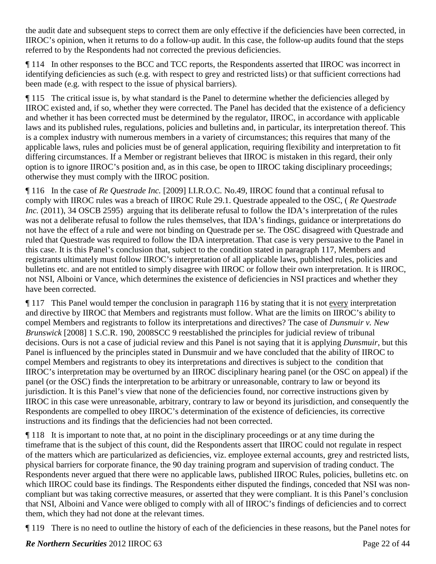the audit date and subsequent steps to correct them are only effective if the deficiencies have been corrected, in IIROC's opinion, when it returns to do a follow-up audit. In this case, the follow-up audits found that the steps referred to by the Respondents had not corrected the previous deficiencies.

¶ 114 In other responses to the BCC and TCC reports, the Respondents asserted that IIROC was incorrect in identifying deficiencies as such (e.g. with respect to grey and restricted lists) or that sufficient corrections had been made (e.g. with respect to the issue of physical barriers).

¶ 115 The critical issue is, by what standard is the Panel to determine whether the deficiencies alleged by IIROC existed and, if so, whether they were corrected. The Panel has decided that the existence of a deficiency and whether it has been corrected must be determined by the regulator, IIROC, in accordance with applicable laws and its published rules, regulations, policies and bulletins and, in particular, its interpretation thereof. This is a complex industry with numerous members in a variety of circumstances; this requires that many of the applicable laws, rules and policies must be of general application, requiring flexibility and interpretation to fit differing circumstances. If a Member or registrant believes that IIROC is mistaken in this regard, their only option is to ignore IIROC's position and, as in this case, be open to IIROC taking disciplinary proceedings; otherwise they must comply with the IIROC position.

¶ 116 In the case of *Re Questrade Inc.* [2009] I.I.R.O.C. No.49, IIROC found that a continual refusal to comply with IIROC rules was a breach of IIROC Rule 29.1. Questrade appealed to the OSC, ( *Re Questrade Inc.* (2011), 34 OSCB 2595) arguing that its deliberate refusal to follow the IDA's interpretation of the rules was not a deliberate refusal to follow the rules themselves, that IDA's findings, guidance or interpretations do not have the effect of a rule and were not binding on Questrade per se. The OSC disagreed with Questrade and ruled that Questrade was required to follow the IDA interpretation. That case is very persuasive to the Panel in this case. It is this Panel's conclusion that, subject to the condition stated in paragraph 117, Members and registrants ultimately must follow IIROC's interpretation of all applicable laws, published rules, policies and bulletins etc. and are not entitled to simply disagree with IIROC or follow their own interpretation. It is IIROC, not NSI, Alboini or Vance, which determines the existence of deficiencies in NSI practices and whether they have been corrected.

¶ 117 This Panel would temper the conclusion in paragraph 116 by stating that it is not every interpretation and directive by IIROC that Members and registrants must follow. What are the limits on IIROC's ability to compel Members and registrants to follow its interpretations and directives? The case of *Dunsmuir v. New Brunswick* [2008] 1 S.C.R. 190, 2008SCC 9 reestablished the principles for judicial review of tribunal decisions. Ours is not a case of judicial review and this Panel is not saying that it is applying *Dunsmuir*, but this Panel is influenced by the principles stated in Dunsmuir and we have concluded that the ability of IIROC to compel Members and registrants to obey its interpretations and directives is subject to the condition that IIROC's interpretation may be overturned by an IIROC disciplinary hearing panel (or the OSC on appeal) if the panel (or the OSC) finds the interpretation to be arbitrary or unreasonable, contrary to law or beyond its jurisdiction. It is this Panel's view that none of the deficiencies found, nor corrective instructions given by IIROC in this case were unreasonable, arbitrary, contrary to law or beyond its jurisdiction, and consequently the Respondents are compelled to obey IIROC's determination of the existence of deficiencies, its corrective instructions and its findings that the deficiencies had not been corrected.

¶ 118 It is important to note that, at no point in the disciplinary proceedings or at any time during the timeframe that is the subject of this count, did the Respondents assert that IIROC could not regulate in respect of the matters which are particularized as deficiencies, viz. employee external accounts, grey and restricted lists, physical barriers for corporate finance, the 90 day training program and supervision of trading conduct. The Respondents never argued that there were no applicable laws, published IIROC Rules, policies, bulletins etc. on which IIROC could base its findings. The Respondents either disputed the findings, conceded that NSI was noncompliant but was taking corrective measures, or asserted that they were compliant. It is this Panel's conclusion that NSI, Alboini and Vance were obliged to comply with all of IIROC's findings of deficiencies and to correct them, which they had not done at the relevant times.

¶ 119 There is no need to outline the history of each of the deficiencies in these reasons, but the Panel notes for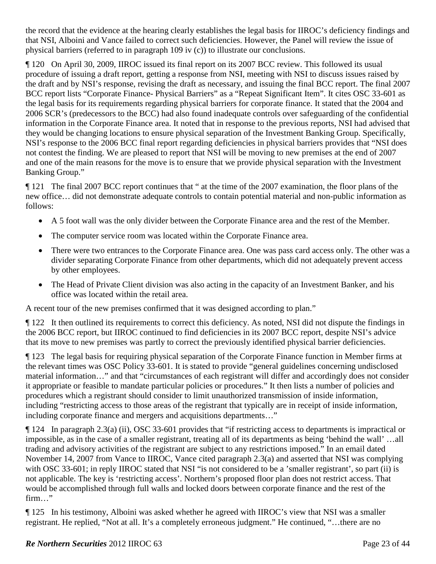the record that the evidence at the hearing clearly establishes the legal basis for IIROC's deficiency findings and that NSI, Alboini and Vance failed to correct such deficiencies. However, the Panel will review the issue of physical barriers (referred to in paragraph 109 iv (c)) to illustrate our conclusions.

¶ 120 On April 30, 2009, IIROC issued its final report on its 2007 BCC review. This followed its usual procedure of issuing a draft report, getting a response from NSI, meeting with NSI to discuss issues raised by the draft and by NSI's response, revising the draft as necessary, and issuing the final BCC report. The final 2007 BCC report lists "Corporate Finance- Physical Barriers" as a "Repeat Significant Item". It cites OSC 33-601 as the legal basis for its requirements regarding physical barriers for corporate finance. It stated that the 2004 and 2006 SCR's (predecessors to the BCC) had also found inadequate controls over safeguarding of the confidential information in the Corporate Finance area. It noted that in response to the previous reports, NSI had advised that they would be changing locations to ensure physical separation of the Investment Banking Group. Specifically, NSI's response to the 2006 BCC final report regarding deficiencies in physical barriers provides that "NSI does not contest the finding. We are pleased to report that NSI will be moving to new premises at the end of 2007 and one of the main reasons for the move is to ensure that we provide physical separation with the Investment Banking Group."

¶ 121 The final 2007 BCC report continues that " at the time of the 2007 examination, the floor plans of the new office… did not demonstrate adequate controls to contain potential material and non-public information as follows:

- A 5 foot wall was the only divider between the Corporate Finance area and the rest of the Member.
- The computer service room was located within the Corporate Finance area.
- There were two entrances to the Corporate Finance area. One was pass card access only. The other was a divider separating Corporate Finance from other departments, which did not adequately prevent access by other employees.
- The Head of Private Client division was also acting in the capacity of an Investment Banker, and his office was located within the retail area.

A recent tour of the new premises confirmed that it was designed according to plan."

¶ 122 It then outlined its requirements to correct this deficiency. As noted, NSI did not dispute the findings in the 2006 BCC report, but IIROC continued to find deficiencies in its 2007 BCC report, despite NSI's advice that its move to new premises was partly to correct the previously identified physical barrier deficiencies.

¶ 123 The legal basis for requiring physical separation of the Corporate Finance function in Member firms at the relevant times was OSC Policy 33-601. It is stated to provide "general guidelines concerning undisclosed material information…" and that "circumstances of each registrant will differ and accordingly does not consider it appropriate or feasible to mandate particular policies or procedures." It then lists a number of policies and procedures which a registrant should consider to limit unauthorized transmission of inside information, including "restricting access to those areas of the registrant that typically are in receipt of inside information, including corporate finance and mergers and acquisitions departments…"

¶ 124 In paragraph 2.3(a) (ii), OSC 33-601 provides that "if restricting access to departments is impractical or impossible, as in the case of a smaller registrant, treating all of its departments as being 'behind the wall' …all trading and advisory activities of the registrant are subject to any restrictions imposed." In an email dated November 14, 2007 from Vance to IIROC, Vance cited paragraph 2.3(a) and asserted that NSI was complying with OSC 33-601; in reply IIROC stated that NSI "is not considered to be a 'smaller registrant', so part (ii) is not applicable. The key is 'restricting access'. Northern's proposed floor plan does not restrict access. That would be accomplished through full walls and locked doors between corporate finance and the rest of the firm…"

¶ 125 In his testimony, Alboini was asked whether he agreed with IIROC's view that NSI was a smaller registrant. He replied, "Not at all. It's a completely erroneous judgment." He continued, "…there are no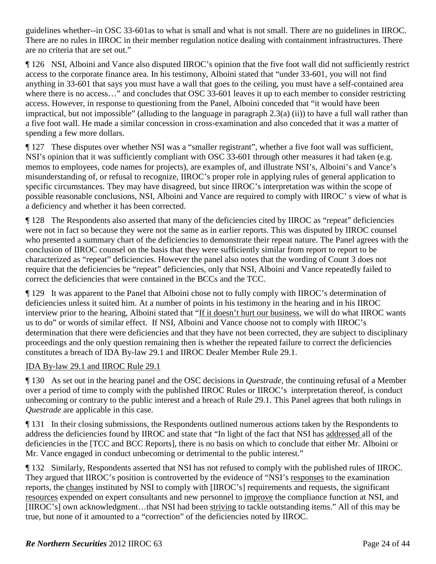guidelines whether--in OSC 33-601as to what is small and what is not small. There are no guidelines in IIROC. There are no rules in IIROC in their member regulation notice dealing with containment infrastructures. There are no criteria that are set out."

¶ 126 NSI, Alboini and Vance also disputed IIROC's opinion that the five foot wall did not sufficiently restrict access to the corporate finance area. In his testimony, Alboini stated that "under 33-601, you will not find anything in 33-601 that says you must have a wall that goes to the ceiling, you must have a self-contained area where there is no access..." and concludes that OSC 33-601 leaves it up to each member to consider restricting access. However, in response to questioning from the Panel, Alboini conceded that "it would have been impractical, but not impossible" (alluding to the language in paragraph 2.3(a) (ii)) to have a full wall rather than a five foot wall. He made a similar concession in cross-examination and also conceded that it was a matter of spending a few more dollars.

¶ 127 These disputes over whether NSI was a "smaller registrant", whether a five foot wall was sufficient, NSI's opinion that it was sufficiently compliant with OSC 33-601 through other measures it had taken (e.g. memos to employees, code names for projects), are examples of, and illustrate NSI's, Alboini's and Vance's misunderstanding of, or refusal to recognize, IIROC's proper role in applying rules of general application to specific circumstances. They may have disagreed, but since IIROC's interpretation was within the scope of possible reasonable conclusions, NSI, Alboini and Vance are required to comply with IIROC' s view of what is a deficiency and whether it has been corrected.

¶ 128 The Respondents also asserted that many of the deficiencies cited by IIROC as "repeat" deficiencies were not in fact so because they were not the same as in earlier reports. This was disputed by IIROC counsel who presented a summary chart of the deficiencies to demonstrate their repeat nature. The Panel agrees with the conclusion of IIROC counsel on the basis that they were sufficiently similar from report to report to be characterized as "repeat" deficiencies. However the panel also notes that the wording of Count 3 does not require that the deficiencies be "repeat" deficiencies, only that NSI, Alboini and Vance repeatedly failed to correct the deficiencies that were contained in the BCCs and the TCC.

¶ 129 It was apparent to the Panel that Alboini chose not to fully comply with IIROC's determination of deficiencies unless it suited him. At a number of points in his testimony in the hearing and in his IIROC interview prior to the hearing, Alboini stated that "If it doesn't hurt our business, we will do what IIROC wants us to do" or words of similar effect. If NSI, Alboini and Vance choose not to comply with IIROC's determination that there were deficiencies and that they have not been corrected, they are subject to disciplinary proceedings and the only question remaining then is whether the repeated failure to correct the deficiencies constitutes a breach of IDA By-law 29.1 and IIROC Dealer Member Rule 29.1.

# IDA By-law 29.1 and IIROC Rule 29.1

¶ 130 As set out in the hearing panel and the OSC decisions in *Questrade*, the continuing refusal of a Member over a period of time to comply with the published IIROC Rules or IIROC's interpretation thereof, is conduct unbecoming or contrary to the public interest and a breach of Rule 29.1. This Panel agrees that both rulings in *Questrade* are applicable in this case.

¶ 131 In their closing submissions, the Respondents outlined numerous actions taken by the Respondents to address the deficiencies found by IIROC and state that "In light of the fact that NSI has addressed all of the deficiencies in the [TCC and BCC Reports], there is no basis on which to conclude that either Mr. Alboini or Mr. Vance engaged in conduct unbecoming or detrimental to the public interest."

¶ 132 Similarly, Respondents asserted that NSI has not refused to comply with the published rules of IIROC. They argued that IIROC's position is controverted by the evidence of "NSI's responses to the examination reports, the changes instituted by NSI to comply with [IIROC's] requirements and requests, the significant resources expended on expert consultants and new personnel to improve the compliance function at NSI, and [IIROC's] own acknowledgment…that NSI had been striving to tackle outstanding items." All of this may be true, but none of it amounted to a "correction" of the deficiencies noted by IIROC.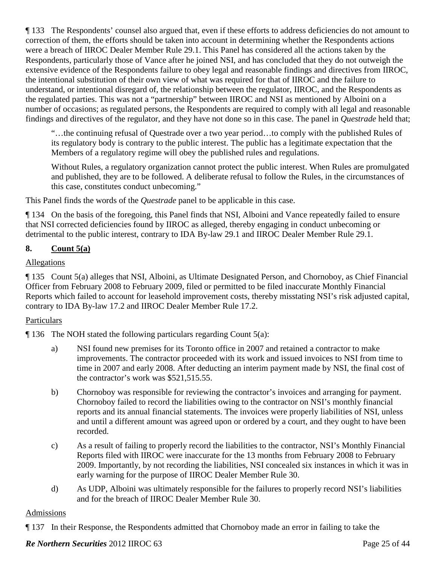¶ 133 The Respondents' counsel also argued that, even if these efforts to address deficiencies do not amount to correction of them, the efforts should be taken into account in determining whether the Respondents actions were a breach of IIROC Dealer Member Rule 29.1. This Panel has considered all the actions taken by the Respondents, particularly those of Vance after he joined NSI, and has concluded that they do not outweigh the extensive evidence of the Respondents failure to obey legal and reasonable findings and directives from IIROC, the intentional substitution of their own view of what was required for that of IIROC and the failure to understand, or intentional disregard of, the relationship between the regulator, IIROC, and the Respondents as the regulated parties. This was not a "partnership" between IIROC and NSI as mentioned by Alboini on a number of occasions; as regulated persons, the Respondents are required to comply with all legal and reasonable findings and directives of the regulator, and they have not done so in this case. The panel in *Questrade* held that;

"…the continuing refusal of Questrade over a two year period…to comply with the published Rules of its regulatory body is contrary to the public interest. The public has a legitimate expectation that the Members of a regulatory regime will obey the published rules and regulations.

Without Rules, a regulatory organization cannot protect the public interest. When Rules are promulgated and published, they are to be followed. A deliberate refusal to follow the Rules, in the circumstances of this case, constitutes conduct unbecoming."

This Panel finds the words of the *Questrade* panel to be applicable in this case.

¶ 134 On the basis of the foregoing, this Panel finds that NSI, Alboini and Vance repeatedly failed to ensure that NSI corrected deficiencies found by IIROC as alleged, thereby engaging in conduct unbecoming or detrimental to the public interest, contrary to IDA By-law 29.1 and IIROC Dealer Member Rule 29.1.

# **8. Count 5(a)**

# **Allegations**

¶ 135 Count 5(a) alleges that NSI, Alboini, as Ultimate Designated Person, and Chornoboy, as Chief Financial Officer from February 2008 to February 2009, filed or permitted to be filed inaccurate Monthly Financial Reports which failed to account for leasehold improvement costs, thereby misstating NSI's risk adjusted capital, contrary to IDA By-law 17.2 and IIROC Dealer Member Rule 17.2.

# Particulars

 $\P$  136 The NOH stated the following particulars regarding Count 5(a):

- a) NSI found new premises for its Toronto office in 2007 and retained a contractor to make improvements. The contractor proceeded with its work and issued invoices to NSI from time to time in 2007 and early 2008. After deducting an interim payment made by NSI, the final cost of the contractor's work was \$521,515.55.
- b) Chornoboy was responsible for reviewing the contractor's invoices and arranging for payment. Chornoboy failed to record the liabilities owing to the contractor on NSI's monthly financial reports and its annual financial statements. The invoices were properly liabilities of NSI, unless and until a different amount was agreed upon or ordered by a court, and they ought to have been recorded.
- c) As a result of failing to properly record the liabilities to the contractor, NSI's Monthly Financial Reports filed with IIROC were inaccurate for the 13 months from February 2008 to February 2009. Importantly, by not recording the liabilities, NSI concealed six instances in which it was in early warning for the purpose of IIROC Dealer Member Rule 30.
- d) As UDP, Alboini was ultimately responsible for the failures to properly record NSI's liabilities and for the breach of IIROC Dealer Member Rule 30.

# Admissions

¶ 137 In their Response, the Respondents admitted that Chornoboy made an error in failing to take the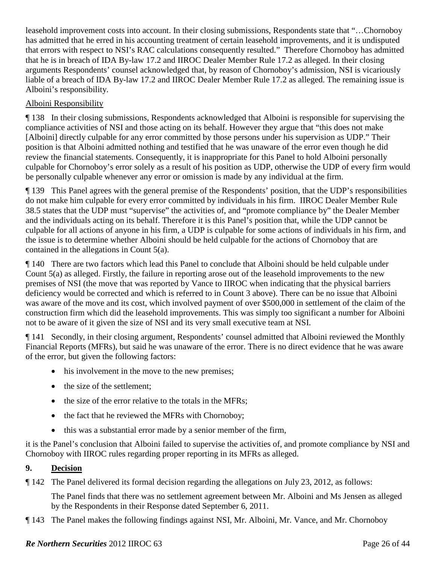leasehold improvement costs into account. In their closing submissions, Respondents state that "…Chornoboy has admitted that he erred in his accounting treatment of certain leasehold improvements, and it is undisputed that errors with respect to NSI's RAC calculations consequently resulted." Therefore Chornoboy has admitted that he is in breach of IDA By-law 17.2 and IIROC Dealer Member Rule 17.2 as alleged. In their closing arguments Respondents' counsel acknowledged that, by reason of Chornoboy's admission, NSI is vicariously liable of a breach of IDA By-law 17.2 and IIROC Dealer Member Rule 17.2 as alleged. The remaining issue is Alboini's responsibility.

### Alboini Responsibility

¶ 138 In their closing submissions, Respondents acknowledged that Alboini is responsible for supervising the compliance activities of NSI and those acting on its behalf. However they argue that "this does not make [Alboini] directly culpable for any error committed by those persons under his supervision as UDP." Their position is that Alboini admitted nothing and testified that he was unaware of the error even though he did review the financial statements. Consequently, it is inappropriate for this Panel to hold Alboini personally culpable for Chornoboy's error solely as a result of his position as UDP, otherwise the UDP of every firm would be personally culpable whenever any error or omission is made by any individual at the firm.

¶ 139 This Panel agrees with the general premise of the Respondents' position, that the UDP's responsibilities do not make him culpable for every error committed by individuals in his firm. IIROC Dealer Member Rule 38.5 states that the UDP must "supervise" the activities of, and "promote compliance by" the Dealer Member and the individuals acting on its behalf. Therefore it is this Panel's position that, while the UDP cannot be culpable for all actions of anyone in his firm, a UDP is culpable for some actions of individuals in his firm, and the issue is to determine whether Alboini should be held culpable for the actions of Chornoboy that are contained in the allegations in Count 5(a).

¶ 140 There are two factors which lead this Panel to conclude that Alboini should be held culpable under Count 5(a) as alleged. Firstly, the failure in reporting arose out of the leasehold improvements to the new premises of NSI (the move that was reported by Vance to IIROC when indicating that the physical barriers deficiency would be corrected and which is referred to in Count 3 above). There can be no issue that Alboini was aware of the move and its cost, which involved payment of over \$500,000 in settlement of the claim of the construction firm which did the leasehold improvements. This was simply too significant a number for Alboini not to be aware of it given the size of NSI and its very small executive team at NSI.

¶ 141 Secondly, in their closing argument, Respondents' counsel admitted that Alboini reviewed the Monthly Financial Reports (MFRs), but said he was unaware of the error. There is no direct evidence that he was aware of the error, but given the following factors:

- his involvement in the move to the new premises;
- the size of the settlement;
- the size of the error relative to the totals in the MFRs;
- the fact that he reviewed the MFRs with Chornoboy;
- this was a substantial error made by a senior member of the firm,

it is the Panel's conclusion that Alboini failed to supervise the activities of, and promote compliance by NSI and Chornoboy with IIROC rules regarding proper reporting in its MFRs as alleged.

### **9. Decision**

¶ 142 The Panel delivered its formal decision regarding the allegations on July 23, 2012, as follows:

The Panel finds that there was no settlement agreement between Mr. Alboini and Ms Jensen as alleged by the Respondents in their Response dated September 6, 2011.

¶ 143 The Panel makes the following findings against NSI, Mr. Alboini, Mr. Vance, and Mr. Chornoboy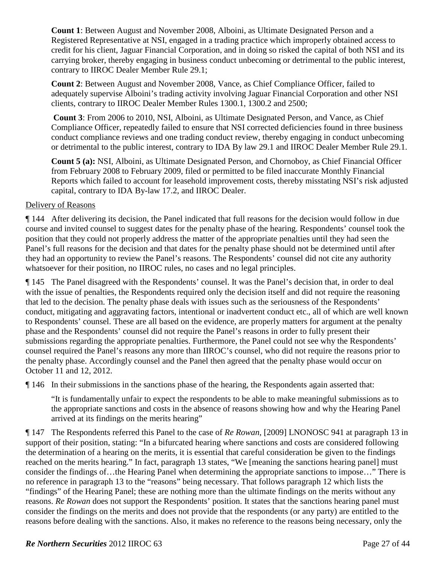**Count 1**: Between August and November 2008, Alboini, as Ultimate Designated Person and a Registered Representative at NSI, engaged in a trading practice which improperly obtained access to credit for his client, Jaguar Financial Corporation, and in doing so risked the capital of both NSI and its carrying broker, thereby engaging in business conduct unbecoming or detrimental to the public interest, contrary to IIROC Dealer Member Rule 29.1;

**Count 2**: Between August and November 2008, Vance, as Chief Compliance Officer, failed to adequately supervise Alboini's trading activity involving Jaguar Financial Corporation and other NSI clients, contrary to IIROC Dealer Member Rules 1300.1, 1300.2 and 2500;

**Count 3**: From 2006 to 2010, NSI, Alboini, as Ultimate Designated Person, and Vance, as Chief Compliance Officer, repeatedly failed to ensure that NSI corrected deficiencies found in three business conduct compliance reviews and one trading conduct review, thereby engaging in conduct unbecoming or detrimental to the public interest, contrary to IDA By law 29.1 and IIROC Dealer Member Rule 29.1.

**Count 5 (a):** NSI, Alboini, as Ultimate Designated Person, and Chornoboy, as Chief Financial Officer from February 2008 to February 2009, filed or permitted to be filed inaccurate Monthly Financial Reports which failed to account for leasehold improvement costs, thereby misstating NSI's risk adjusted capital, contrary to IDA By-law 17.2, and IIROC Dealer.

### Delivery of Reasons

¶ 144 After delivering its decision, the Panel indicated that full reasons for the decision would follow in due course and invited counsel to suggest dates for the penalty phase of the hearing. Respondents' counsel took the position that they could not properly address the matter of the appropriate penalties until they had seen the Panel's full reasons for the decision and that dates for the penalty phase should not be determined until after they had an opportunity to review the Panel's reasons. The Respondents' counsel did not cite any authority whatsoever for their position, no IIROC rules, no cases and no legal principles.

¶ 145 The Panel disagreed with the Respondents' counsel. It was the Panel's decision that, in order to deal with the issue of penalties, the Respondents required only the decision itself and did not require the reasoning that led to the decision. The penalty phase deals with issues such as the seriousness of the Respondents' conduct, mitigating and aggravating factors, intentional or inadvertent conduct etc., all of which are well known to Respondents' counsel. These are all based on the evidence, are properly matters for argument at the penalty phase and the Respondents' counsel did not require the Panel's reasons in order to fully present their submissions regarding the appropriate penalties. Furthermore, the Panel could not see why the Respondents' counsel required the Panel's reasons any more than IIROC's counsel, who did not require the reasons prior to the penalty phase. Accordingly counsel and the Panel then agreed that the penalty phase would occur on October 11 and 12, 2012.

¶ 146 In their submissions in the sanctions phase of the hearing, the Respondents again asserted that:

"It is fundamentally unfair to expect the respondents to be able to make meaningful submissions as to the appropriate sanctions and costs in the absence of reasons showing how and why the Hearing Panel arrived at its findings on the merits hearing"

¶ 147 The Respondents referred this Panel to the case of *Re Rowan*, [2009] LNONOSC 941 at paragraph 13 in support of their position, stating: "In a bifurcated hearing where sanctions and costs are considered following the determination of a hearing on the merits, it is essential that careful consideration be given to the findings reached on the merits hearing." In fact, paragraph 13 states, "We [meaning the sanctions hearing panel] must consider the findings of…the Hearing Panel when determining the appropriate sanctions to impose…" There is no reference in paragraph 13 to the "reasons" being necessary. That follows paragraph 12 which lists the "findings" of the Hearing Panel; these are nothing more than the ultimate findings on the merits without any reasons. *Re Rowan* does not support the Respondents' position. It states that the sanctions hearing panel must consider the findings on the merits and does not provide that the respondents (or any party) are entitled to the reasons before dealing with the sanctions. Also, it makes no reference to the reasons being necessary, only the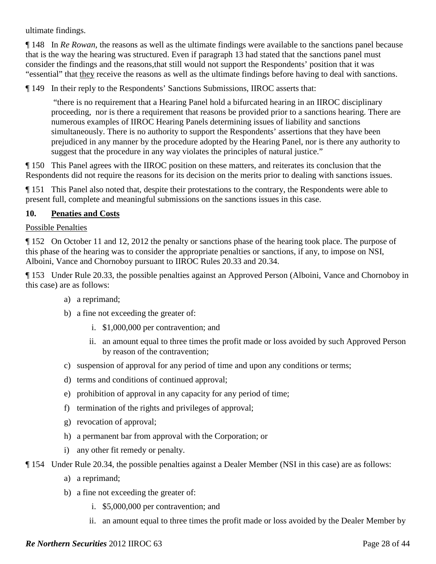ultimate findings.

¶ 148 In *Re Rowan*, the reasons as well as the ultimate findings were available to the sanctions panel because that is the way the hearing was structured. Even if paragraph 13 had stated that the sanctions panel must consider the findings and the reasons,that still would not support the Respondents' position that it was "essential" that they receive the reasons as well as the ultimate findings before having to deal with sanctions.

¶ 149 In their reply to the Respondents' Sanctions Submissions, IIROC asserts that:

"there is no requirement that a Hearing Panel hold a bifurcated hearing in an IIROC disciplinary proceeding, nor is there a requirement that reasons be provided prior to a sanctions hearing. There are numerous examples of IIROC Hearing Panels determining issues of liability and sanctions simultaneously. There is no authority to support the Respondents' assertions that they have been prejudiced in any manner by the procedure adopted by the Hearing Panel, nor is there any authority to suggest that the procedure in any way violates the principles of natural justice."

¶ 150 This Panel agrees with the IIROC position on these matters, and reiterates its conclusion that the Respondents did not require the reasons for its decision on the merits prior to dealing with sanctions issues.

¶ 151 This Panel also noted that, despite their protestations to the contrary, the Respondents were able to present full, complete and meaningful submissions on the sanctions issues in this case.

### **10. Penaties and Costs**

### Possible Penalties

¶ 152 On October 11 and 12, 2012 the penalty or sanctions phase of the hearing took place. The purpose of this phase of the hearing was to consider the appropriate penalties or sanctions, if any, to impose on NSI, Alboini, Vance and Chornoboy pursuant to IIROC Rules 20.33 and 20.34.

¶ 153 Under Rule 20.33, the possible penalties against an Approved Person (Alboini, Vance and Chornoboy in this case) are as follows:

- a) a reprimand;
- b) a fine not exceeding the greater of:
	- i. \$1,000,000 per contravention; and
	- ii. an amount equal to three times the profit made or loss avoided by such Approved Person by reason of the contravention;
- c) suspension of approval for any period of time and upon any conditions or terms;
- d) terms and conditions of continued approval;
- e) prohibition of approval in any capacity for any period of time;
- f) termination of the rights and privileges of approval;
- g) revocation of approval;
- h) a permanent bar from approval with the Corporation; or
- i) any other fit remedy or penalty.
- ¶ 154 Under Rule 20.34, the possible penalties against a Dealer Member (NSI in this case) are as follows:
	- a) a reprimand;
	- b) a fine not exceeding the greater of:
		- i. \$5,000,000 per contravention; and
		- ii. an amount equal to three times the profit made or loss avoided by the Dealer Member by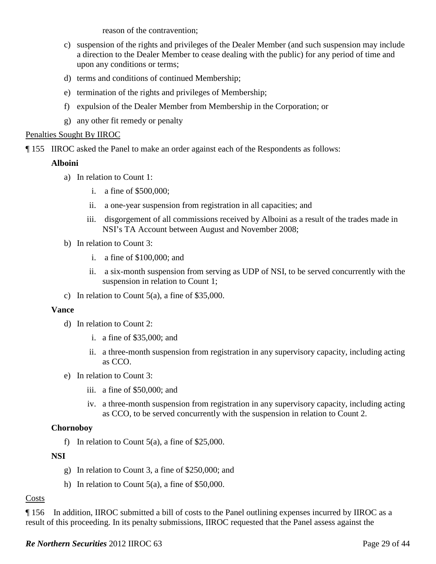reason of the contravention;

- c) suspension of the rights and privileges of the Dealer Member (and such suspension may include a direction to the Dealer Member to cease dealing with the public) for any period of time and upon any conditions or terms;
- d) terms and conditions of continued Membership;
- e) termination of the rights and privileges of Membership;
- f) expulsion of the Dealer Member from Membership in the Corporation; or
- g) any other fit remedy or penalty

### Penalties Sought By IIROC

¶ 155 IIROC asked the Panel to make an order against each of the Respondents as follows:

### **Alboini**

- a) In relation to Count 1:
	- i. a fine of \$500,000;
	- ii. a one-year suspension from registration in all capacities; and
	- iii. disgorgement of all commissions received by Alboini as a result of the trades made in NSI's TA Account between August and November 2008;
- b) In relation to Count 3:
	- i. a fine of \$100,000; and
	- ii. a six-month suspension from serving as UDP of NSI, to be served concurrently with the suspension in relation to Count 1;
- c) In relation to Count  $5(a)$ , a fine of \$35,000.

#### **Vance**

- d) In relation to Count 2:
	- i. a fine of \$35,000; and
	- ii. a three-month suspension from registration in any supervisory capacity, including acting as CCO.
- e) In relation to Count 3:
	- iii. a fine of \$50,000; and
	- iv. a three-month suspension from registration in any supervisory capacity, including acting as CCO, to be served concurrently with the suspension in relation to Count 2.

### **Chornoboy**

f) In relation to Count  $5(a)$ , a fine of \$25,000.

### **NSI**

- g) In relation to Count 3, a fine of \$250,000; and
- h) In relation to Count 5(a), a fine of \$50,000.

### Costs

¶ 156 In addition, IIROC submitted a bill of costs to the Panel outlining expenses incurred by IIROC as a result of this proceeding. In its penalty submissions, IIROC requested that the Panel assess against the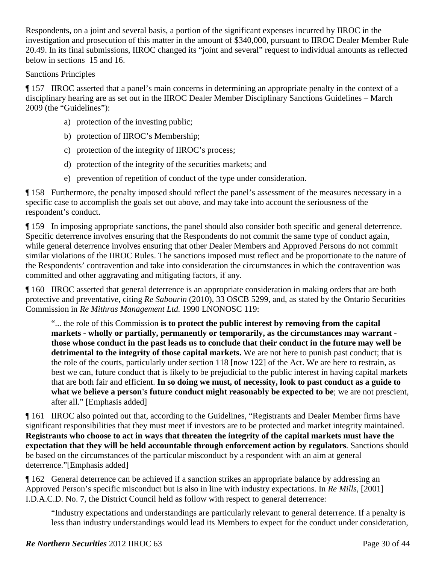Respondents, on a joint and several basis, a portion of the significant expenses incurred by IIROC in the investigation and prosecution of this matter in the amount of \$340,000, pursuant to IIROC Dealer Member Rule 20.49. In its final submissions, IIROC changed its "joint and several" request to individual amounts as reflected below in sections 15 and 16.

#### Sanctions Principles

¶ 157 IIROC asserted that a panel's main concerns in determining an appropriate penalty in the context of a disciplinary hearing are as set out in the IIROC Dealer Member Disciplinary Sanctions Guidelines – March 2009 (the "Guidelines"):

- a) protection of the investing public;
- b) protection of IIROC's Membership;
- c) protection of the integrity of IIROC's process;
- d) protection of the integrity of the securities markets; and
- e) prevention of repetition of conduct of the type under consideration.

¶ 158 Furthermore, the penalty imposed should reflect the panel's assessment of the measures necessary in a specific case to accomplish the goals set out above, and may take into account the seriousness of the respondent's conduct.

¶ 159 In imposing appropriate sanctions, the panel should also consider both specific and general deterrence. Specific deterrence involves ensuring that the Respondents do not commit the same type of conduct again, while general deterrence involves ensuring that other Dealer Members and Approved Persons do not commit similar violations of the IIROC Rules. The sanctions imposed must reflect and be proportionate to the nature of the Respondents' contravention and take into consideration the circumstances in which the contravention was committed and other aggravating and mitigating factors, if any.

¶ 160 IIROC asserted that general deterrence is an appropriate consideration in making orders that are both protective and preventative, citing *Re Sabourin* (2010), 33 OSCB 5299, and, as stated by the Ontario Securities Commission in *Re Mithras Management Ltd.* 1990 LNONOSC 119:

"... the role of this Commission **is to protect the public interest by removing from the capital markets - wholly or partially, permanently or temporarily, as the circumstances may warrant those whose conduct in the past leads us to conclude that their conduct in the future may well be detrimental to the integrity of those capital markets.** We are not here to punish past conduct; that is the role of the courts, particularly under section 118 [now 122] of the Act. We are here to restrain, as best we can, future conduct that is likely to be prejudicial to the public interest in having capital markets that are both fair and efficient. **In so doing we must, of necessity, look to past conduct as a guide to**  what we believe a person's future conduct might reasonably be expected to be; we are not prescient, after all." [Emphasis added]

¶ 161 IIROC also pointed out that, according to the Guidelines, "Registrants and Dealer Member firms have significant responsibilities that they must meet if investors are to be protected and market integrity maintained. **Registrants who choose to act in ways that threaten the integrity of the capital markets must have the expectation that they will be held accountable through enforcement action by regulators**. Sanctions should be based on the circumstances of the particular misconduct by a respondent with an aim at general deterrence."[Emphasis added]

¶ 162 General deterrence can be achieved if a sanction strikes an appropriate balance by addressing an Approved Person's specific misconduct but is also in line with industry expectations. In *Re Mills*, [2001] I.D.A.C.D. No. 7, the District Council held as follow with respect to general deterrence:

"Industry expectations and understandings are particularly relevant to general deterrence. If a penalty is less than industry understandings would lead its Members to expect for the conduct under consideration,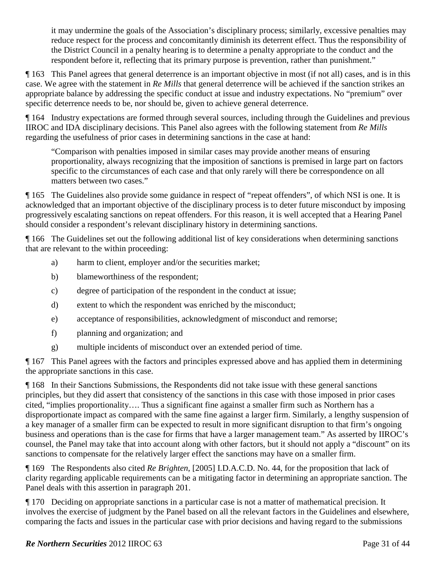it may undermine the goals of the Association's disciplinary process; similarly, excessive penalties may reduce respect for the process and concomitantly diminish its deterrent effect. Thus the responsibility of the District Council in a penalty hearing is to determine a penalty appropriate to the conduct and the respondent before it, reflecting that its primary purpose is prevention, rather than punishment."

¶ 163 This Panel agrees that general deterrence is an important objective in most (if not all) cases, and is in this case. We agree with the statement in *Re Mills* that general deterrence will be achieved if the sanction strikes an appropriate balance by addressing the specific conduct at issue and industry expectations. No "premium" over specific deterrence needs to be, nor should be, given to achieve general deterrence.

¶ 164 Industry expectations are formed through several sources, including through the Guidelines and previous IIROC and IDA disciplinary decisions. This Panel also agrees with the following statement from *Re Mills* regarding the usefulness of prior cases in determining sanctions in the case at hand:

"Comparison with penalties imposed in similar cases may provide another means of ensuring proportionality, always recognizing that the imposition of sanctions is premised in large part on factors specific to the circumstances of each case and that only rarely will there be correspondence on all matters between two cases."

¶ 165 The Guidelines also provide some guidance in respect of "repeat offenders", of which NSI is one. It is acknowledged that an important objective of the disciplinary process is to deter future misconduct by imposing progressively escalating sanctions on repeat offenders. For this reason, it is well accepted that a Hearing Panel should consider a respondent's relevant disciplinary history in determining sanctions.

¶ 166 The Guidelines set out the following additional list of key considerations when determining sanctions that are relevant to the within proceeding:

- a) harm to client, employer and/or the securities market;
- b) blameworthiness of the respondent;
- c) degree of participation of the respondent in the conduct at issue;
- d) extent to which the respondent was enriched by the misconduct;
- e) acceptance of responsibilities, acknowledgment of misconduct and remorse;
- f) planning and organization; and
- g) multiple incidents of misconduct over an extended period of time.

¶ 167 This Panel agrees with the factors and principles expressed above and has applied them in determining the appropriate sanctions in this case.

¶ 168 In their Sanctions Submissions, the Respondents did not take issue with these general sanctions principles, but they did assert that consistency of the sanctions in this case with those imposed in prior cases cited, "implies proportionality…. Thus a significant fine against a smaller firm such as Northern has a disproportionate impact as compared with the same fine against a larger firm. Similarly, a lengthy suspension of a key manager of a smaller firm can be expected to result in more significant disruption to that firm's ongoing business and operations than is the case for firms that have a larger management team." As asserted by IIROC's counsel, the Panel may take that into account along with other factors, but it should not apply a "discount" on its sanctions to compensate for the relatively larger effect the sanctions may have on a smaller firm.

¶ 169 The Respondents also cited *Re Brighten*, [2005] I.D.A.C.D. No. 44, for the proposition that lack of clarity regarding applicable requirements can be a mitigating factor in determining an appropriate sanction. The Panel deals with this assertion in paragraph 201.

¶ 170 Deciding on appropriate sanctions in a particular case is not a matter of mathematical precision. It involves the exercise of judgment by the Panel based on all the relevant factors in the Guidelines and elsewhere, comparing the facts and issues in the particular case with prior decisions and having regard to the submissions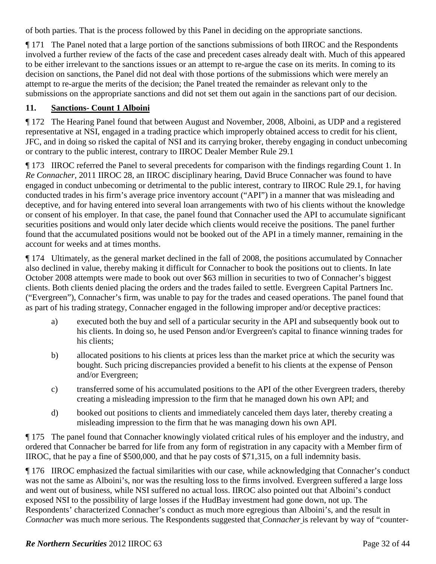of both parties. That is the process followed by this Panel in deciding on the appropriate sanctions.

¶ 171 The Panel noted that a large portion of the sanctions submissions of both IIROC and the Respondents involved a further review of the facts of the case and precedent cases already dealt with. Much of this appeared to be either irrelevant to the sanctions issues or an attempt to re-argue the case on its merits. In coming to its decision on sanctions, the Panel did not deal with those portions of the submissions which were merely an attempt to re-argue the merits of the decision; the Panel treated the remainder as relevant only to the submissions on the appropriate sanctions and did not set them out again in the sanctions part of our decision.

# **11. Sanctions- Count 1 Alboini**

¶ 172 The Hearing Panel found that between August and November, 2008, Alboini, as UDP and a registered representative at NSI, engaged in a trading practice which improperly obtained access to credit for his client, JFC, and in doing so risked the capital of NSI and its carrying broker, thereby engaging in conduct unbecoming or contrary to the public interest, contrary to IIROC Dealer Member Rule 29.1

¶ 173 IIROC referred the Panel to several precedents for comparison with the findings regarding Count 1. In *Re Connacher*, 2011 IIROC 28, an IIROC disciplinary hearing, David Bruce Connacher was found to have engaged in conduct unbecoming or detrimental to the public interest, contrary to IIROC Rule 29.1, for having conducted trades in his firm's average price inventory account ("API") in a manner that was misleading and deceptive, and for having entered into several loan arrangements with two of his clients without the knowledge or consent of his employer. In that case, the panel found that Connacher used the API to accumulate significant securities positions and would only later decide which clients would receive the positions. The panel further found that the accumulated positions would not be booked out of the API in a timely manner, remaining in the account for weeks and at times months.

¶ 174 Ultimately, as the general market declined in the fall of 2008, the positions accumulated by Connacher also declined in value, thereby making it difficult for Connacher to book the positions out to clients. In late October 2008 attempts were made to book out over \$63 million in securities to two of Connacher's biggest clients. Both clients denied placing the orders and the trades failed to settle. Evergreen Capital Partners Inc. ("Evergreen"), Connacher's firm, was unable to pay for the trades and ceased operations. The panel found that as part of his trading strategy, Connacher engaged in the following improper and/or deceptive practices:

- a) executed both the buy and sell of a particular security in the API and subsequently book out to his clients. In doing so, he used Penson and/or Evergreen's capital to finance winning trades for his clients;
- b) allocated positions to his clients at prices less than the market price at which the security was bought. Such pricing discrepancies provided a benefit to his clients at the expense of Penson and/or Evergreen;
- c) transferred some of his accumulated positions to the API of the other Evergreen traders, thereby creating a misleading impression to the firm that he managed down his own API; and
- d) booked out positions to clients and immediately canceled them days later, thereby creating a misleading impression to the firm that he was managing down his own API.

¶ 175 The panel found that Connacher knowingly violated critical rules of his employer and the industry, and ordered that Connacher be barred for life from any form of registration in any capacity with a Member firm of IIROC, that he pay a fine of \$500,000, and that he pay costs of \$71,315, on a full indemnity basis.

¶ 176 IIROC emphasized the factual similarities with our case, while acknowledging that Connacher's conduct was not the same as Alboini's, nor was the resulting loss to the firms involved. Evergreen suffered a large loss and went out of business, while NSI suffered no actual loss. IIROC also pointed out that Alboini's conduct exposed NSI to the possibility of large losses if the HudBay investment had gone down, not up. The Respondents' characterized Connacher's conduct as much more egregious than Alboini's, and the result in *Connacher* was much more serious. The Respondents suggested that *Connacher* is relevant by way of "counter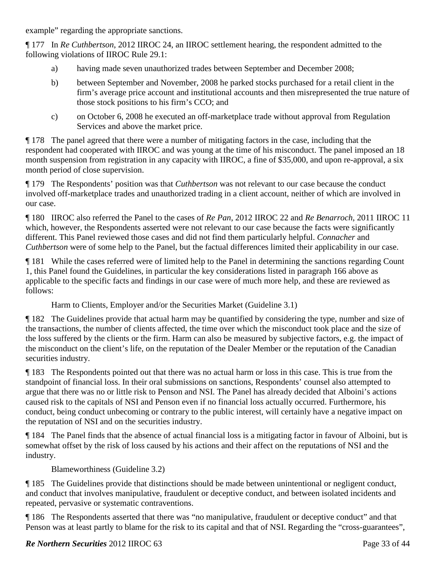example" regarding the appropriate sanctions.

¶ 177 In *Re Cuthbertson*, 2012 IIROC 24, an IIROC settlement hearing, the respondent admitted to the following violations of IIROC Rule 29.1:

- a) having made seven unauthorized trades between September and December 2008;
- b) between September and November, 2008 he parked stocks purchased for a retail client in the firm's average price account and institutional accounts and then misrepresented the true nature of those stock positions to his firm's CCO; and
- c) on October 6, 2008 he executed an off-marketplace trade without approval from Regulation Services and above the market price.

¶ 178 The panel agreed that there were a number of mitigating factors in the case, including that the respondent had cooperated with IIROC and was young at the time of his misconduct. The panel imposed an 18 month suspension from registration in any capacity with IIROC, a fine of \$35,000, and upon re-approval, a six month period of close supervision.

¶ 179 The Respondents' position was that *Cuthbertson* was not relevant to our case because the conduct involved off-marketplace trades and unauthorized trading in a client account, neither of which are involved in our case.

¶ 180 IIROC also referred the Panel to the cases of *Re Pan*, 2012 IIROC 22 and *Re Benarroch*, 2011 IIROC 11 which, however, the Respondents asserted were not relevant to our case because the facts were significantly different. This Panel reviewed those cases and did not find them particularly helpful. *Connacher* and *Cuthbertson* were of some help to the Panel, but the factual differences limited their applicability in our case.

¶ 181 While the cases referred were of limited help to the Panel in determining the sanctions regarding Count 1, this Panel found the Guidelines, in particular the key considerations listed in paragraph 166 above as applicable to the specific facts and findings in our case were of much more help, and these are reviewed as follows:

Harm to Clients, Employer and/or the Securities Market (Guideline 3.1)

¶ 182 The Guidelines provide that actual harm may be quantified by considering the type, number and size of the transactions, the number of clients affected, the time over which the misconduct took place and the size of the loss suffered by the clients or the firm. Harm can also be measured by subjective factors, e.g. the impact of the misconduct on the client's life, on the reputation of the Dealer Member or the reputation of the Canadian securities industry.

¶ 183 The Respondents pointed out that there was no actual harm or loss in this case. This is true from the standpoint of financial loss. In their oral submissions on sanctions, Respondents' counsel also attempted to argue that there was no or little risk to Penson and NSI. The Panel has already decided that Alboini's actions caused risk to the capitals of NSI and Penson even if no financial loss actually occurred. Furthermore, his conduct, being conduct unbecoming or contrary to the public interest, will certainly have a negative impact on the reputation of NSI and on the securities industry.

¶ 184 The Panel finds that the absence of actual financial loss is a mitigating factor in favour of Alboini, but is somewhat offset by the risk of loss caused by his actions and their affect on the reputations of NSI and the industry.

Blameworthiness (Guideline 3.2)

¶ 185 The Guidelines provide that distinctions should be made between unintentional or negligent conduct, and conduct that involves manipulative, fraudulent or deceptive conduct, and between isolated incidents and repeated, pervasive or systematic contraventions.

¶ 186 The Respondents asserted that there was "no manipulative, fraudulent or deceptive conduct" and that Penson was at least partly to blame for the risk to its capital and that of NSI. Regarding the "cross-guarantees",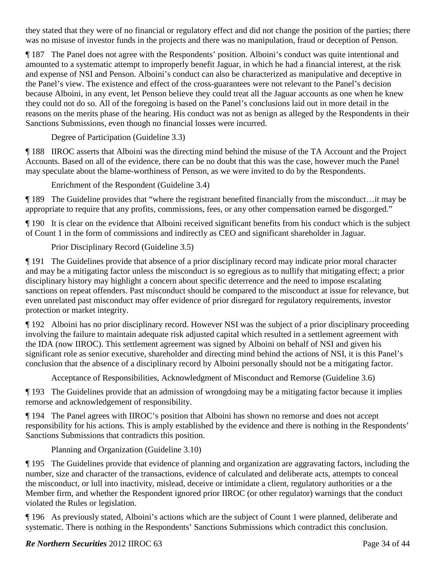they stated that they were of no financial or regulatory effect and did not change the position of the parties; there was no misuse of investor funds in the projects and there was no manipulation, fraud or deception of Penson.

¶ 187 The Panel does not agree with the Respondents' position. Alboini's conduct was quite intentional and amounted to a systematic attempt to improperly benefit Jaguar, in which he had a financial interest, at the risk and expense of NSI and Penson. Alboini's conduct can also be characterized as manipulative and deceptive in the Panel's view. The existence and effect of the cross-guarantees were not relevant to the Panel's decision because Alboini, in any event, let Penson believe they could treat all the Jaguar accounts as one when he knew they could not do so. All of the foregoing is based on the Panel's conclusions laid out in more detail in the reasons on the merits phase of the hearing. His conduct was not as benign as alleged by the Respondents in their Sanctions Submissions, even though no financial losses were incurred.

Degree of Participation (Guideline 3.3)

¶ 188 IIROC asserts that Alboini was the directing mind behind the misuse of the TA Account and the Project Accounts. Based on all of the evidence, there can be no doubt that this was the case, however much the Panel may speculate about the blame-worthiness of Penson, as we were invited to do by the Respondents.

Enrichment of the Respondent (Guideline 3.4)

¶ 189 The Guideline provides that "where the registrant benefited financially from the misconduct…it may be appropriate to require that any profits, commissions, fees, or any other compensation earned be disgorged."

¶ 190 It is clear on the evidence that Alboini received significant benefits from his conduct which is the subject of Count 1 in the form of commissions and indirectly as CEO and significant shareholder in Jaguar.

Prior Disciplinary Record (Guideline 3.5)

¶ 191 The Guidelines provide that absence of a prior disciplinary record may indicate prior moral character and may be a mitigating factor unless the misconduct is so egregious as to nullify that mitigating effect; a prior disciplinary history may highlight a concern about specific deterrence and the need to impose escalating sanctions on repeat offenders. Past misconduct should be compared to the misconduct at issue for relevance, but even unrelated past misconduct may offer evidence of prior disregard for regulatory requirements, investor protection or market integrity.

¶ 192 Alboini has no prior disciplinary record. However NSI was the subject of a prior disciplinary proceeding involving the failure to maintain adequate risk adjusted capital which resulted in a settlement agreement with the IDA (now IIROC). This settlement agreement was signed by Alboini on behalf of NSI and given his significant role as senior executive, shareholder and directing mind behind the actions of NSI, it is this Panel's conclusion that the absence of a disciplinary record by Alboini personally should not be a mitigating factor.

Acceptance of Responsibilities, Acknowledgment of Misconduct and Remorse (Guideline 3.6)

¶ 193 The Guidelines provide that an admission of wrongdoing may be a mitigating factor because it implies remorse and acknowledgement of responsibility.

¶ 194 The Panel agrees with IIROC's position that Alboini has shown no remorse and does not accept responsibility for his actions. This is amply established by the evidence and there is nothing in the Respondents' Sanctions Submissions that contradicts this position.

Planning and Organization (Guideline 3.10)

¶ 195 The Guidelines provide that evidence of planning and organization are aggravating factors, including the number, size and character of the transactions, evidence of calculated and deliberate acts, attempts to conceal the misconduct, or lull into inactivity, mislead, deceive or intimidate a client, regulatory authorities or a the Member firm, and whether the Respondent ignored prior IIROC (or other regulator) warnings that the conduct violated the Rules or legislation.

¶ 196 As previously stated, Alboini's actions which are the subject of Count 1 were planned, deliberate and systematic. There is nothing in the Respondents' Sanctions Submissions which contradict this conclusion.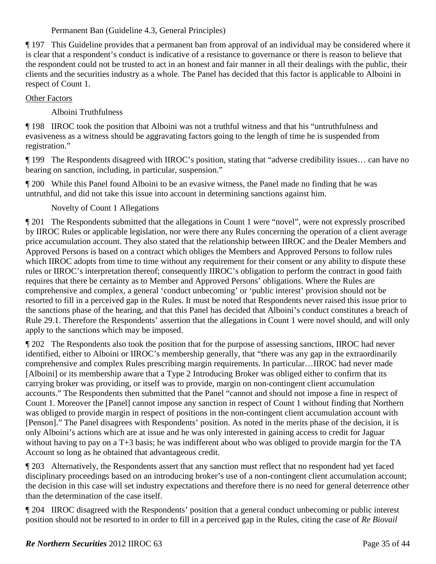### Permanent Ban (Guideline 4.3, General Principles)

¶ 197 This Guideline provides that a permanent ban from approval of an individual may be considered where it is clear that a respondent's conduct is indicative of a resistance to governance or there is reason to believe that the respondent could not be trusted to act in an honest and fair manner in all their dealings with the public, their clients and the securities industry as a whole. The Panel has decided that this factor is applicable to Alboini in respect of Count 1.

### Other Factors

Alboini Truthfulness

¶ 198 IIROC took the position that Alboini was not a truthful witness and that his "untruthfulness and evasiveness as a witness should be aggravating factors going to the length of time he is suspended from registration."

¶ 199 The Respondents disagreed with IIROC's position, stating that "adverse credibility issues… can have no bearing on sanction, including, in particular, suspension."

¶ 200 While this Panel found Alboini to be an evasive witness, the Panel made no finding that he was untruthful, and did not take this issue into account in determining sanctions against him.

# Novelty of Count 1 Allegations

¶ 201 The Respondents submitted that the allegations in Count 1 were "novel", were not expressly proscribed by IIROC Rules or applicable legislation, nor were there any Rules concerning the operation of a client average price accumulation account. They also stated that the relationship between IIROC and the Dealer Members and Approved Persons is based on a contract which obliges the Members and Approved Persons to follow rules which IIROC adopts from time to time without any requirement for their consent or any ability to dispute these rules or IIROC's interpretation thereof; consequently IIROC's obligation to perform the contract in good faith requires that there be certainty as to Member and Approved Persons' obligations. Where the Rules are comprehensive and complex, a general 'conduct unbecoming' or 'public interest' provision should not be resorted to fill in a perceived gap in the Rules. It must be noted that Respondents never raised this issue prior to the sanctions phase of the hearing, and that this Panel has decided that Alboini's conduct constitutes a breach of Rule 29.1. Therefore the Respondents' assertion that the allegations in Count 1 were novel should, and will only apply to the sanctions which may be imposed.

¶ 202 The Respondents also took the position that for the purpose of assessing sanctions, IIROC had never identified, either to Alboini or IIROC's membership generally, that "there was any gap in the extraordinarily comprehensive and complex Rules prescribing margin requirements. In particular…IIROC had never made [Alboini] or its membership aware that a Type 2 Introducing Broker was obliged either to confirm that its carrying broker was providing, or itself was to provide, margin on non-contingent client accumulation accounts." The Respondents then submitted that the Panel "cannot and should not impose a fine in respect of Count 1. Moreover the [Panel] cannot impose any sanction in respect of Count 1 without finding that Northern was obliged to provide margin in respect of positions in the non-contingent client accumulation account with [Penson]." The Panel disagrees with Respondents' position. As noted in the merits phase of the decision, it is only Alboini's actions which are at issue and he was only interested in gaining access to credit for Jaguar without having to pay on a T+3 basis; he was indifferent about who was obliged to provide margin for the TA Account so long as he obtained that advantageous credit.

¶ 203 Alternatively, the Respondents assert that any sanction must reflect that no respondent had yet faced disciplinary proceedings based on an introducing broker's use of a non-contingent client accumulation account; the decision in this case will set industry expectations and therefore there is no need for general deterrence other than the determination of the case itself.

¶ 204 IIROC disagreed with the Respondents' position that a general conduct unbecoming or public interest position should not be resorted to in order to fill in a perceived gap in the Rules, citing the case of *Re Biovail*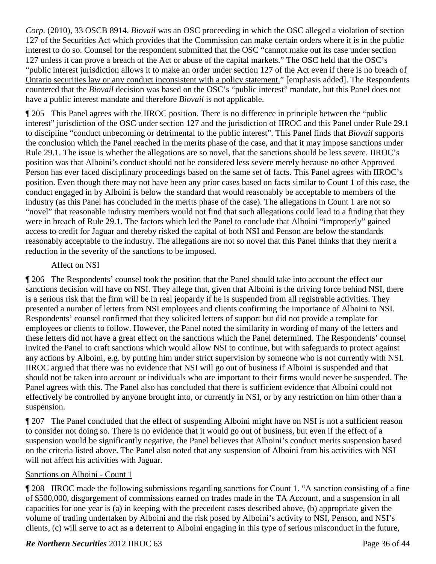*Corp.* (2010), 33 OSCB 8914. *Biovail* was an OSC proceeding in which the OSC alleged a violation of section 127 of the Securities Act which provides that the Commission can make certain orders where it is in the public interest to do so. Counsel for the respondent submitted that the OSC "cannot make out its case under section 127 unless it can prove a breach of the Act or abuse of the capital markets." The OSC held that the OSC's "public interest jurisdiction allows it to make an order under section 127 of the Act even if there is no breach of Ontario securities law or any conduct inconsistent with a policy statement." [emphasis added]. The Respondents countered that the *Biovail* decision was based on the OSC's "public interest" mandate, but this Panel does not have a public interest mandate and therefore *Biovail* is not applicable.

¶ 205 This Panel agrees with the IIROC position. There is no difference in principle between the "public interest" jurisdiction of the OSC under section 127 and the jurisdiction of IIROC and this Panel under Rule 29.1 to discipline "conduct unbecoming or detrimental to the public interest". This Panel finds that *Biovail* supports the conclusion which the Panel reached in the merits phase of the case, and that it may impose sanctions under Rule 29.1. The issue is whether the allegations are so novel, that the sanctions should be less severe. IIROC's position was that Alboini's conduct should not be considered less severe merely because no other Approved Person has ever faced disciplinary proceedings based on the same set of facts. This Panel agrees with IIROC's position. Even though there may not have been any prior cases based on facts similar to Count 1 of this case, the conduct engaged in by Alboini is below the standard that would reasonably be acceptable to members of the industry (as this Panel has concluded in the merits phase of the case). The allegations in Count 1 are not so "novel" that reasonable industry members would not find that such allegations could lead to a finding that they were in breach of Rule 29.1. The factors which led the Panel to conclude that Alboini "improperly" gained access to credit for Jaguar and thereby risked the capital of both NSI and Penson are below the standards reasonably acceptable to the industry. The allegations are not so novel that this Panel thinks that they merit a reduction in the severity of the sanctions to be imposed.

### Affect on NSI

¶ 206 The Respondents' counsel took the position that the Panel should take into account the effect our sanctions decision will have on NSI. They allege that, given that Alboini is the driving force behind NSI, there is a serious risk that the firm will be in real jeopardy if he is suspended from all registrable activities. They presented a number of letters from NSI employees and clients confirming the importance of Alboini to NSI. Respondents' counsel confirmed that they solicited letters of support but did not provide a template for employees or clients to follow. However, the Panel noted the similarity in wording of many of the letters and these letters did not have a great effect on the sanctions which the Panel determined. The Respondents' counsel invited the Panel to craft sanctions which would allow NSI to continue, but with safeguards to protect against any actions by Alboini, e.g. by putting him under strict supervision by someone who is not currently with NSI. IIROC argued that there was no evidence that NSI will go out of business if Alboini is suspended and that should not be taken into account or individuals who are important to their firms would never be suspended. The Panel agrees with this. The Panel also has concluded that there is sufficient evidence that Alboini could not effectively be controlled by anyone brought into, or currently in NSI, or by any restriction on him other than a suspension.

¶ 207 The Panel concluded that the effect of suspending Alboini might have on NSI is not a sufficient reason to consider not doing so. There is no evidence that it would go out of business, but even if the effect of a suspension would be significantly negative, the Panel believes that Alboini's conduct merits suspension based on the criteria listed above. The Panel also noted that any suspension of Alboini from his activities with NSI will not affect his activities with Jaguar.

#### Sanctions on Alboini - Count 1

¶ 208 IIROC made the following submissions regarding sanctions for Count 1. "A sanction consisting of a fine of \$500,000, disgorgement of commissions earned on trades made in the TA Account, and a suspension in all capacities for one year is (a) in keeping with the precedent cases described above, (b) appropriate given the volume of trading undertaken by Alboini and the risk posed by Alboini's activity to NSI, Penson, and NSI's clients, (c) will serve to act as a deterrent to Alboini engaging in this type of serious misconduct in the future,

#### *Re Northern Securities* 2012 IIROC 63 **Page 36 of 44** Page 36 of 44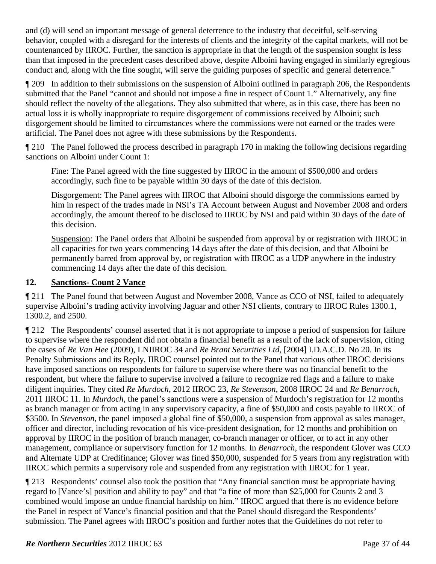and (d) will send an important message of general deterrence to the industry that deceitful, self-serving behavior, coupled with a disregard for the interests of clients and the integrity of the capital markets, will not be countenanced by IIROC. Further, the sanction is appropriate in that the length of the suspension sought is less than that imposed in the precedent cases described above, despite Alboini having engaged in similarly egregious conduct and, along with the fine sought, will serve the guiding purposes of specific and general deterrence."

¶ 209 In addition to their submissions on the suspension of Alboini outlined in paragraph 206, the Respondents submitted that the Panel "cannot and should not impose a fine in respect of Count 1." Alternatively, any fine should reflect the novelty of the allegations. They also submitted that where, as in this case, there has been no actual loss it is wholly inappropriate to require disgorgement of commissions received by Alboini; such disgorgement should be limited to circumstances where the commissions were not earned or the trades were artificial. The Panel does not agree with these submissions by the Respondents.

¶ 210 The Panel followed the process described in paragraph 170 in making the following decisions regarding sanctions on Alboini under Count 1:

Fine: The Panel agreed with the fine suggested by IIROC in the amount of \$500,000 and orders accordingly, such fine to be payable within 30 days of the date of this decision.

Disgorgement: The Panel agrees with IIROC that Alboini should disgorge the commissions earned by him in respect of the trades made in NSI's TA Account between August and November 2008 and orders accordingly, the amount thereof to be disclosed to IIROC by NSI and paid within 30 days of the date of this decision.

Suspension: The Panel orders that Alboini be suspended from approval by or registration with IIROC in all capacities for two years commencing 14 days after the date of this decision, and that Alboini be permanently barred from approval by, or registration with IIROC as a UDP anywhere in the industry commencing 14 days after the date of this decision.

### **12. Sanctions- Count 2 Vance**

¶ 211 The Panel found that between August and November 2008, Vance as CCO of NSI, failed to adequately supervise Alboini's trading activity involving Jaguar and other NSI clients, contrary to IIROC Rules 1300.1, 1300.2, and 2500.

¶ 212 The Respondents' counsel asserted that it is not appropriate to impose a period of suspension for failure to supervise where the respondent did not obtain a financial benefit as a result of the lack of supervision, citing the cases of *Re Van Hee* (2009), LNIIROC 34 and *Re Brant Securities Ltd*, [2004] I.D.A.C.D. No 20. In its Penalty Submissions and its Reply, IIROC counsel pointed out to the Panel that various other IIROC decisions have imposed sanctions on respondents for failure to supervise where there was no financial benefit to the respondent, but where the failure to supervise involved a failure to recognize red flags and a failure to make diligent inquiries. They cited *Re Murdoch*, 2012 IIROC 23, *Re Stevenson*, 2008 IIROC 24 and *Re Benarroch*, 2011 IIROC 11. In *Murdoch*, the panel's sanctions were a suspension of Murdoch's registration for 12 months as branch manager or from acting in any supervisory capacity, a fine of \$50,000 and costs payable to IIROC of \$3500. In *Stevenson*, the panel imposed a global fine of \$50,000, a suspension from approval as sales manager, officer and director, including revocation of his vice-president designation, for 12 months and prohibition on approval by IIROC in the position of branch manager, co-branch manager or officer, or to act in any other management, compliance or supervisory function for 12 months. In *Benarroch*, the respondent Glover was CCO and Alternate UDP at Credifinance; Glover was fined \$50,000, suspended for 5 years from any registration with IIROC which permits a supervisory role and suspended from any registration with IIROC for 1 year.

¶ 213 Respondents' counsel also took the position that "Any financial sanction must be appropriate having regard to [Vance's] position and ability to pay" and that "a fine of more than \$25,000 for Counts 2 and 3 combined would impose an undue financial hardship on him." IIROC argued that there is no evidence before the Panel in respect of Vance's financial position and that the Panel should disregard the Respondents' submission. The Panel agrees with IIROC's position and further notes that the Guidelines do not refer to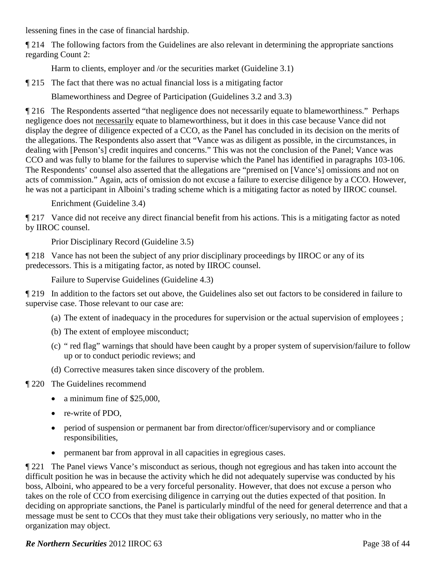lessening fines in the case of financial hardship.

¶ 214 The following factors from the Guidelines are also relevant in determining the appropriate sanctions regarding Count 2:

Harm to clients, employer and /or the securities market (Guideline 3.1)

¶ 215 The fact that there was no actual financial loss is a mitigating factor

Blameworthiness and Degree of Participation (Guidelines 3.2 and 3.3)

¶ 216 The Respondents asserted "that negligence does not necessarily equate to blameworthiness." Perhaps negligence does not necessarily equate to blameworthiness, but it does in this case because Vance did not display the degree of diligence expected of a CCO, as the Panel has concluded in its decision on the merits of the allegations. The Respondents also assert that "Vance was as diligent as possible, in the circumstances, in dealing with [Penson's] credit inquires and concerns." This was not the conclusion of the Panel; Vance was CCO and was fully to blame for the failures to supervise which the Panel has identified in paragraphs 103-106. The Respondents' counsel also asserted that the allegations are "premised on [Vance's] omissions and not on acts of commission." Again, acts of omission do not excuse a failure to exercise diligence by a CCO. However, he was not a participant in Alboini's trading scheme which is a mitigating factor as noted by IIROC counsel.

Enrichment (Guideline 3.4)

¶ 217 Vance did not receive any direct financial benefit from his actions. This is a mitigating factor as noted by IIROC counsel.

Prior Disciplinary Record (Guideline 3.5)

¶ 218 Vance has not been the subject of any prior disciplinary proceedings by IIROC or any of its predecessors. This is a mitigating factor, as noted by IIROC counsel.

Failure to Supervise Guidelines (Guideline 4.3)

¶ 219 In addition to the factors set out above, the Guidelines also set out factors to be considered in failure to supervise case. Those relevant to our case are:

- (a) The extent of inadequacy in the procedures for supervision or the actual supervision of employees ;
- (b) The extent of employee misconduct;
- (c) " red flag" warnings that should have been caught by a proper system of supervision/failure to follow up or to conduct periodic reviews; and
- (d) Corrective measures taken since discovery of the problem.
- ¶ 220 The Guidelines recommend
	- a minimum fine of \$25,000,
	- re-write of PDO.
	- period of suspension or permanent bar from director/officer/supervisory and or compliance responsibilities,
	- permanent bar from approval in all capacities in egregious cases.

¶ 221 The Panel views Vance's misconduct as serious, though not egregious and has taken into account the difficult position he was in because the activity which he did not adequately supervise was conducted by his boss, Alboini, who appeared to be a very forceful personality. However, that does not excuse a person who takes on the role of CCO from exercising diligence in carrying out the duties expected of that position. In deciding on appropriate sanctions, the Panel is particularly mindful of the need for general deterrence and that a message must be sent to CCOs that they must take their obligations very seriously, no matter who in the organization may object.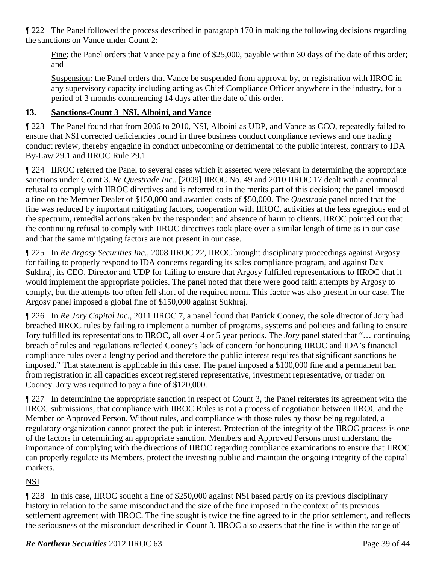¶ 222 The Panel followed the process described in paragraph 170 in making the following decisions regarding the sanctions on Vance under Count 2:

Fine: the Panel orders that Vance pay a fine of \$25,000, payable within 30 days of the date of this order; and

Suspension: the Panel orders that Vance be suspended from approval by, or registration with IIROC in any supervisory capacity including acting as Chief Compliance Officer anywhere in the industry, for a period of 3 months commencing 14 days after the date of this order.

### **13. Sanctions-Count 3 NSI, Alboini, and Vance**

¶ 223 The Panel found that from 2006 to 2010, NSI, Alboini as UDP, and Vance as CCO, repeatedly failed to ensure that NSI corrected deficiencies found in three business conduct compliance reviews and one trading conduct review, thereby engaging in conduct unbecoming or detrimental to the public interest, contrary to IDA By-Law 29.1 and IIROC Rule 29.1

¶ 224 IIROC referred the Panel to several cases which it asserted were relevant in determining the appropriate sanctions under Count 3. *Re Questrade Inc.,* [2009] IIROC No. 49 and 2010 IIROC 17 dealt with a continual refusal to comply with IIROC directives and is referred to in the merits part of this decision; the panel imposed a fine on the Member Dealer of \$150,000 and awarded costs of \$50,000. The *Questrade* panel noted that the fine was reduced by important mitigating factors, cooperation with IIROC, activities at the less egregious end of the spectrum, remedial actions taken by the respondent and absence of harm to clients. IIROC pointed out that the continuing refusal to comply with IIROC directives took place over a similar length of time as in our case and that the same mitigating factors are not present in our case.

¶ 225 In *Re Argosy Securities Inc.,* 2008 IIROC 22, IIROC brought disciplinary proceedings against Argosy for failing to properly respond to IDA concerns regarding its sales compliance program, and against Dax Sukhraj, its CEO, Director and UDP for failing to ensure that Argosy fulfilled representations to IIROC that it would implement the appropriate policies. The panel noted that there were good faith attempts by Argosy to comply, but the attempts too often fell short of the required norm. This factor was also present in our case. The Argosy panel imposed a global fine of \$150,000 against Sukhraj.

¶ 226 In *Re Jory Capital Inc.,* 2011 IIROC 7, a panel found that Patrick Cooney, the sole director of Jory had breached IIROC rules by failing to implement a number of programs, systems and policies and failing to ensure Jory fulfilled its representations to IIROC, all over 4 or 5 year periods. The *Jory* panel stated that "… continuing breach of rules and regulations reflected Cooney's lack of concern for honouring IIROC and IDA's financial compliance rules over a lengthy period and therefore the public interest requires that significant sanctions be imposed." That statement is applicable in this case. The panel imposed a \$100,000 fine and a permanent ban from registration in all capacities except registered representative, investment representative, or trader on Cooney. Jory was required to pay a fine of \$120,000.

¶ 227 In determining the appropriate sanction in respect of Count 3, the Panel reiterates its agreement with the IIROC submissions, that compliance with IIROC Rules is not a process of negotiation between IIROC and the Member or Approved Person. Without rules, and compliance with those rules by those being regulated, a regulatory organization cannot protect the public interest. Protection of the integrity of the IIROC process is one of the factors in determining an appropriate sanction. Members and Approved Persons must understand the importance of complying with the directions of IIROC regarding compliance examinations to ensure that IIROC can properly regulate its Members, protect the investing public and maintain the ongoing integrity of the capital markets.

# NSI

¶ 228 In this case, IIROC sought a fine of \$250,000 against NSI based partly on its previous disciplinary history in relation to the same misconduct and the size of the fine imposed in the context of its previous settlement agreement with IIROC. The fine sought is twice the fine agreed to in the prior settlement, and reflects the seriousness of the misconduct described in Count 3. IIROC also asserts that the fine is within the range of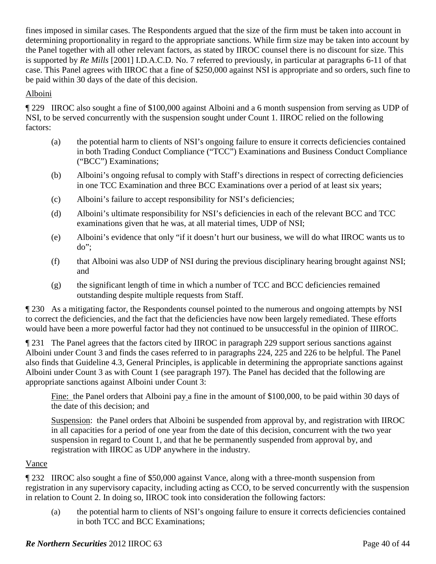fines imposed in similar cases. The Respondents argued that the size of the firm must be taken into account in determining proportionality in regard to the appropriate sanctions. While firm size may be taken into account by the Panel together with all other relevant factors, as stated by IIROC counsel there is no discount for size. This is supported by *Re Mills* [2001] I.D.A.C.D. No. 7 referred to previously, in particular at paragraphs 6-11 of that case. This Panel agrees with IIROC that a fine of \$250,000 against NSI is appropriate and so orders, such fine to be paid within 30 days of the date of this decision.

### Alboini

¶ 229 IIROC also sought a fine of \$100,000 against Alboini and a 6 month suspension from serving as UDP of NSI, to be served concurrently with the suspension sought under Count 1. IIROC relied on the following factors:

- (a) the potential harm to clients of NSI's ongoing failure to ensure it corrects deficiencies contained in both Trading Conduct Compliance ("TCC") Examinations and Business Conduct Compliance ("BCC") Examinations;
- (b) Alboini's ongoing refusal to comply with Staff's directions in respect of correcting deficiencies in one TCC Examination and three BCC Examinations over a period of at least six years;
- (c) Alboini's failure to accept responsibility for NSI's deficiencies;
- (d) Alboini's ultimate responsibility for NSI's deficiencies in each of the relevant BCC and TCC examinations given that he was, at all material times, UDP of NSI;
- (e) Alboini's evidence that only "if it doesn't hurt our business, we will do what IIROC wants us to do";
- (f) that Alboini was also UDP of NSI during the previous disciplinary hearing brought against NSI; and
- (g) the significant length of time in which a number of TCC and BCC deficiencies remained outstanding despite multiple requests from Staff.

¶ 230 As a mitigating factor, the Respondents counsel pointed to the numerous and ongoing attempts by NSI to correct the deficiencies, and the fact that the deficiencies have now been largely remediated. These efforts would have been a more powerful factor had they not continued to be unsuccessful in the opinion of IIIROC.

¶ 231 The Panel agrees that the factors cited by IIROC in paragraph 229 support serious sanctions against Alboini under Count 3 and finds the cases referred to in paragraphs 224, 225 and 226 to be helpful. The Panel also finds that Guideline 4.3, General Principles, is applicable in determining the appropriate sanctions against Alboini under Count 3 as with Count 1 (see paragraph 197). The Panel has decided that the following are appropriate sanctions against Alboini under Count 3:

Fine: the Panel orders that Alboini pay a fine in the amount of \$100,000, to be paid within 30 days of the date of this decision; and

Suspension: the Panel orders that Alboini be suspended from approval by, and registration with IIROC in all capacities for a period of one year from the date of this decision, concurrent with the two year suspension in regard to Count 1, and that he be permanently suspended from approval by, and registration with IIROC as UDP anywhere in the industry.

# Vance

¶ 232 IIROC also sought a fine of \$50,000 against Vance, along with a three-month suspension from registration in any supervisory capacity, including acting as CCO, to be served concurrently with the suspension in relation to Count 2. In doing so, IIROC took into consideration the following factors:

(a) the potential harm to clients of NSI's ongoing failure to ensure it corrects deficiencies contained in both TCC and BCC Examinations;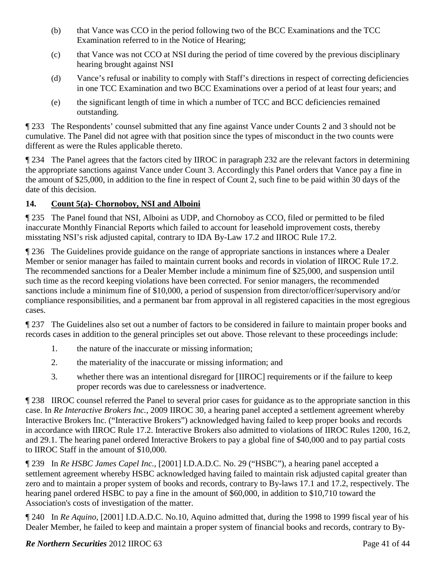- (b) that Vance was CCO in the period following two of the BCC Examinations and the TCC Examination referred to in the Notice of Hearing;
- (c) that Vance was not CCO at NSI during the period of time covered by the previous disciplinary hearing brought against NSI
- (d) Vance's refusal or inability to comply with Staff's directions in respect of correcting deficiencies in one TCC Examination and two BCC Examinations over a period of at least four years; and
- (e) the significant length of time in which a number of TCC and BCC deficiencies remained outstanding.

¶ 233 The Respondents' counsel submitted that any fine against Vance under Counts 2 and 3 should not be cumulative. The Panel did not agree with that position since the types of misconduct in the two counts were different as were the Rules applicable thereto.

¶ 234 The Panel agrees that the factors cited by IIROC in paragraph 232 are the relevant factors in determining the appropriate sanctions against Vance under Count 3. Accordingly this Panel orders that Vance pay a fine in the amount of \$25,000, in addition to the fine in respect of Count 2, such fine to be paid within 30 days of the date of this decision.

# **14. Count 5(a)- Chornoboy, NSI and Alboini**

¶ 235 The Panel found that NSI, Alboini as UDP, and Chornoboy as CCO, filed or permitted to be filed inaccurate Monthly Financial Reports which failed to account for leasehold improvement costs, thereby misstating NSI's risk adjusted capital, contrary to IDA By-Law 17.2 and IIROC Rule 17.2.

¶ 236 The Guidelines provide guidance on the range of appropriate sanctions in instances where a Dealer Member or senior manager has failed to maintain current books and records in violation of IIROC Rule 17.2. The recommended sanctions for a Dealer Member include a minimum fine of \$25,000, and suspension until such time as the record keeping violations have been corrected. For senior managers, the recommended sanctions include a minimum fine of \$10,000, a period of suspension from director/officer/supervisory and/or compliance responsibilities, and a permanent bar from approval in all registered capacities in the most egregious cases.

¶ 237 The Guidelines also set out a number of factors to be considered in failure to maintain proper books and records cases in addition to the general principles set out above. Those relevant to these proceedings include:

- 1. the nature of the inaccurate or missing information;
- 2. the materiality of the inaccurate or missing information; and
- 3. whether there was an intentional disregard for [IIROC] requirements or if the failure to keep proper records was due to carelessness or inadvertence.

¶ 238 IIROC counsel referred the Panel to several prior cases for guidance as to the appropriate sanction in this case. In *Re Interactive Brokers Inc.*, 2009 IIROC 30, a hearing panel accepted a settlement agreement whereby Interactive Brokers Inc. ("Interactive Brokers") acknowledged having failed to keep proper books and records in accordance with IIROC Rule 17.2. Interactive Brokers also admitted to violations of IIROC Rules 1200, 16.2, and 29.1. The hearing panel ordered Interactive Brokers to pay a global fine of \$40,000 and to pay partial costs to IIROC Staff in the amount of \$10,000.

¶ 239 In *Re HSBC James Capel Inc.,* [2001] I.D.A.D.C. No. 29 ("HSBC"), a hearing panel accepted a settlement agreement whereby HSBC acknowledged having failed to maintain risk adjusted capital greater than zero and to maintain a proper system of books and records, contrary to By-laws 17.1 and 17.2, respectively. The hearing panel ordered HSBC to pay a fine in the amount of \$60,000, in addition to \$10,710 toward the Association's costs of investigation of the matter.

¶ 240 In *Re Aquino,* [2001] I.D.A.D.C. No.10, Aquino admitted that, during the 1998 to 1999 fiscal year of his Dealer Member, he failed to keep and maintain a proper system of financial books and records, contrary to By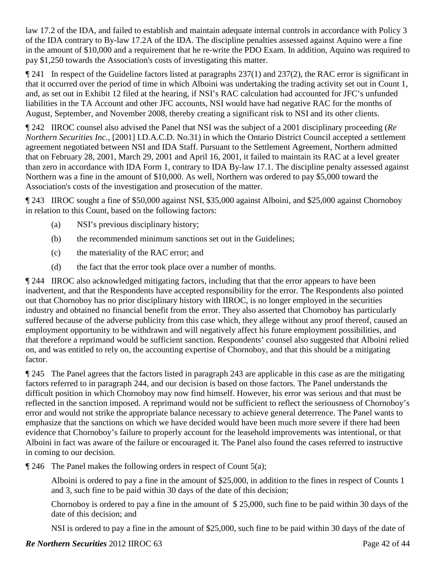law 17.2 of the IDA, and failed to establish and maintain adequate internal controls in accordance with Policy 3 of the IDA contrary to By-law 17.2A of the IDA. The discipline penalties assessed against Aquino were a fine in the amount of \$10,000 and a requirement that he re-write the PDO Exam. In addition, Aquino was required to pay \$1,250 towards the Association's costs of investigating this matter.

¶ 241 In respect of the Guideline factors listed at paragraphs 237(1) and 237(2), the RAC error is significant in that it occurred over the period of time in which Alboini was undertaking the trading activity set out in Count 1, and, as set out in Exhibit 12 filed at the hearing, if NSI's RAC calculation had accounted for JFC's unfunded liabilities in the TA Account and other JFC accounts, NSI would have had negative RAC for the months of August, September, and November 2008, thereby creating a significant risk to NSI and its other clients.

¶ 242 IIROC counsel also advised the Panel that NSI was the subject of a 2001 disciplinary proceeding (*Re Northern Securities Inc.,* [2001] I.D.A.C.D. No.31) in which the Ontario District Council accepted a settlement agreement negotiated between NSI and IDA Staff. Pursuant to the Settlement Agreement, Northern admitted that on February 28, 2001, March 29, 2001 and April 16, 2001, it failed to maintain its RAC at a level greater than zero in accordance with IDA Form 1, contrary to IDA By-law 17.1. The discipline penalty assessed against Northern was a fine in the amount of \$10,000. As well, Northern was ordered to pay \$5,000 toward the Association's costs of the investigation and prosecution of the matter.

¶ 243 IIROC sought a fine of \$50,000 against NSI, \$35,000 against Alboini, and \$25,000 against Chornoboy in relation to this Count, based on the following factors:

- (a) NSI's previous disciplinary history;
- (b) the recommended minimum sanctions set out in the Guidelines;
- (c) the materiality of the RAC error; and
- (d) the fact that the error took place over a number of months.

¶ 244 IIROC also acknowledged mitigating factors, including that that the error appears to have been inadvertent, and that the Respondents have accepted responsibility for the error. The Respondents also pointed out that Chornoboy has no prior disciplinary history with IIROC, is no longer employed in the securities industry and obtained no financial benefit from the error. They also asserted that Chornoboy has particularly suffered because of the adverse publicity from this case which, they allege without any proof thereof, caused an employment opportunity to be withdrawn and will negatively affect his future employment possibilities, and that therefore a reprimand would be sufficient sanction. Respondents' counsel also suggested that Alboini relied on, and was entitled to rely on, the accounting expertise of Chornoboy, and that this should be a mitigating factor.

¶ 245 The Panel agrees that the factors listed in paragraph 243 are applicable in this case as are the mitigating factors referred to in paragraph 244, and our decision is based on those factors. The Panel understands the difficult position in which Chornoboy may now find himself. However, his error was serious and that must be reflected in the sanction imposed. A reprimand would not be sufficient to reflect the seriousness of Chornoboy's error and would not strike the appropriate balance necessary to achieve general deterrence. The Panel wants to emphasize that the sanctions on which we have decided would have been much more severe if there had been evidence that Chornoboy's failure to properly account for the leasehold improvements was intentional, or that Alboini in fact was aware of the failure or encouraged it. The Panel also found the cases referred to instructive in coming to our decision.

¶ 246 The Panel makes the following orders in respect of Count 5(a);

Alboini is ordered to pay a fine in the amount of \$25,000, in addition to the fines in respect of Counts 1 and 3, such fine to be paid within 30 days of the date of this decision;

Chornoboy is ordered to pay a fine in the amount of \$ 25,000, such fine to be paid within 30 days of the date of this decision; and

NSI is ordered to pay a fine in the amount of \$25,000, such fine to be paid within 30 days of the date of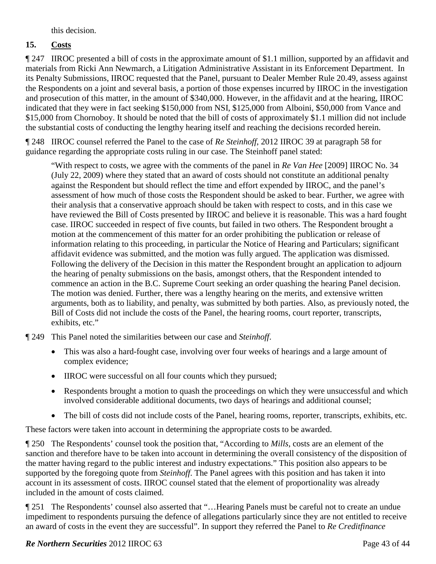this decision.

# **15. Costs**

¶ 247 IIROC presented a bill of costs in the approximate amount of \$1.1 million, supported by an affidavit and materials from Ricki Ann Newmarch, a Litigation Administrative Assistant in its Enforcement Department. In its Penalty Submissions, IIROC requested that the Panel, pursuant to Dealer Member Rule 20.49, assess against the Respondents on a joint and several basis, a portion of those expenses incurred by IIROC in the investigation and prosecution of this matter, in the amount of \$340,000. However, in the affidavit and at the hearing, IIROC indicated that they were in fact seeking \$150,000 from NSI, \$125,000 from Alboini, \$50,000 from Vance and \$15,000 from Chornoboy. It should be noted that the bill of costs of approximately \$1.1 million did not include the substantial costs of conducting the lengthy hearing itself and reaching the decisions recorded herein.

¶ 248 IIROC counsel referred the Panel to the case of *Re Steinhoff*, 2012 IIROC 39 at paragraph 58 for guidance regarding the appropriate costs ruling in our case. The Steinhoff panel stated:

"With respect to costs, we agree with the comments of the panel in *Re Van Hee* [2009] IIROC No. 34 (July 22, 2009) where they stated that an award of costs should not constitute an additional penalty against the Respondent but should reflect the time and effort expended by IIROC, and the panel's assessment of how much of those costs the Respondent should be asked to bear. Further, we agree with their analysis that a conservative approach should be taken with respect to costs, and in this case we have reviewed the Bill of Costs presented by IIROC and believe it is reasonable. This was a hard fought case. IIROC succeeded in respect of five counts, but failed in two others. The Respondent brought a motion at the commencement of this matter for an order prohibiting the publication or release of information relating to this proceeding, in particular the Notice of Hearing and Particulars; significant affidavit evidence was submitted, and the motion was fully argued. The application was dismissed. Following the delivery of the Decision in this matter the Respondent brought an application to adjourn the hearing of penalty submissions on the basis, amongst others, that the Respondent intended to commence an action in the B.C. Supreme Court seeking an order quashing the hearing Panel decision. The motion was denied. Further, there was a lengthy hearing on the merits, and extensive written arguments, both as to liability, and penalty, was submitted by both parties. Also, as previously noted, the Bill of Costs did not include the costs of the Panel, the hearing rooms, court reporter, transcripts, exhibits, etc."

¶ 249 This Panel noted the similarities between our case and *Steinhoff*.

- This was also a hard-fought case, involving over four weeks of hearings and a large amount of complex evidence;
- IIROC were successful on all four counts which they pursued;
- Respondents brought a motion to quash the proceedings on which they were unsuccessful and which involved considerable additional documents, two days of hearings and additional counsel;
- The bill of costs did not include costs of the Panel, hearing rooms, reporter, transcripts, exhibits, etc.

These factors were taken into account in determining the appropriate costs to be awarded.

¶ 250 The Respondents' counsel took the position that, "According to *Mills*, costs are an element of the sanction and therefore have to be taken into account in determining the overall consistency of the disposition of the matter having regard to the public interest and industry expectations." This position also appears to be supported by the foregoing quote from *Steinhoff*. The Panel agrees with this position and has taken it into account in its assessment of costs. IIROC counsel stated that the element of proportionality was already included in the amount of costs claimed.

¶ 251 The Respondents' counsel also asserted that "…Hearing Panels must be careful not to create an undue impediment to respondents pursuing the defence of allegations particularly since they are not entitled to receive an award of costs in the event they are successful". In support they referred the Panel to *Re Creditfinance*